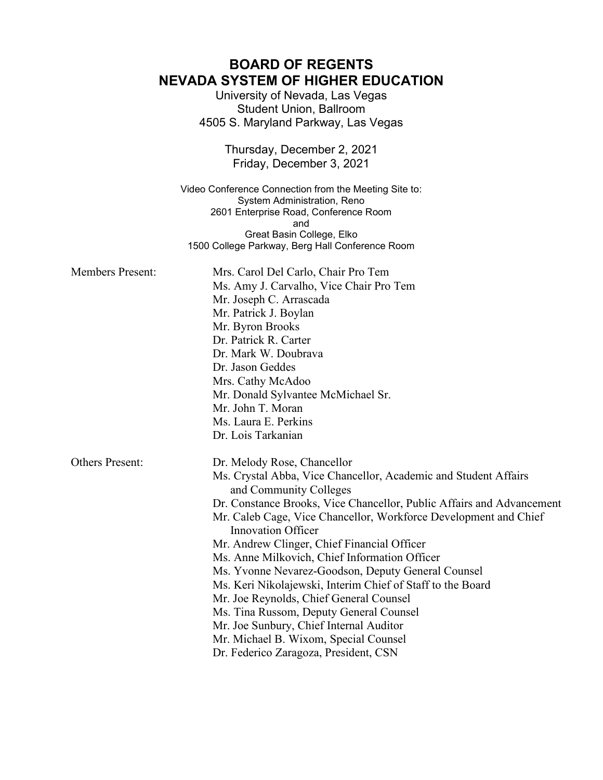# **BOARD OF REGENTS NEVADA SYSTEM OF HIGHER EDUCATION**

University of Nevada, Las Vegas Student Union, Ballroom 4505 S. Maryland Parkway, Las Vegas

> Thursday, December 2, 2021 Friday, December 3, 2021

Video Conference Connection from the Meeting Site to: System Administration, Reno 2601 Enterprise Road, Conference Room and Great Basin College, Elko 1500 College Parkway, Berg Hall Conference Room

| <b>Members Present:</b> | Mrs. Carol Del Carlo, Chair Pro Tem<br>Ms. Amy J. Carvalho, Vice Chair Pro Tem<br>Mr. Joseph C. Arrascada<br>Mr. Patrick J. Boylan<br>Mr. Byron Brooks<br>Dr. Patrick R. Carter<br>Dr. Mark W. Doubrava<br>Dr. Jason Geddes<br>Mrs. Cathy McAdoo<br>Mr. Donald Sylvantee McMichael Sr.<br>Mr. John T. Moran<br>Ms. Laura E. Perkins<br>Dr. Lois Tarkanian                                                                                                                                                                                                                                                                                                                                                                                 |
|-------------------------|-------------------------------------------------------------------------------------------------------------------------------------------------------------------------------------------------------------------------------------------------------------------------------------------------------------------------------------------------------------------------------------------------------------------------------------------------------------------------------------------------------------------------------------------------------------------------------------------------------------------------------------------------------------------------------------------------------------------------------------------|
| <b>Others Present:</b>  | Dr. Melody Rose, Chancellor<br>Ms. Crystal Abba, Vice Chancellor, Academic and Student Affairs<br>and Community Colleges<br>Dr. Constance Brooks, Vice Chancellor, Public Affairs and Advancement<br>Mr. Caleb Cage, Vice Chancellor, Workforce Development and Chief<br><b>Innovation Officer</b><br>Mr. Andrew Clinger, Chief Financial Officer<br>Ms. Anne Milkovich, Chief Information Officer<br>Ms. Yvonne Nevarez-Goodson, Deputy General Counsel<br>Ms. Keri Nikolajewski, Interim Chief of Staff to the Board<br>Mr. Joe Reynolds, Chief General Counsel<br>Ms. Tina Russom, Deputy General Counsel<br>Mr. Joe Sunbury, Chief Internal Auditor<br>Mr. Michael B. Wixom, Special Counsel<br>Dr. Federico Zaragoza, President, CSN |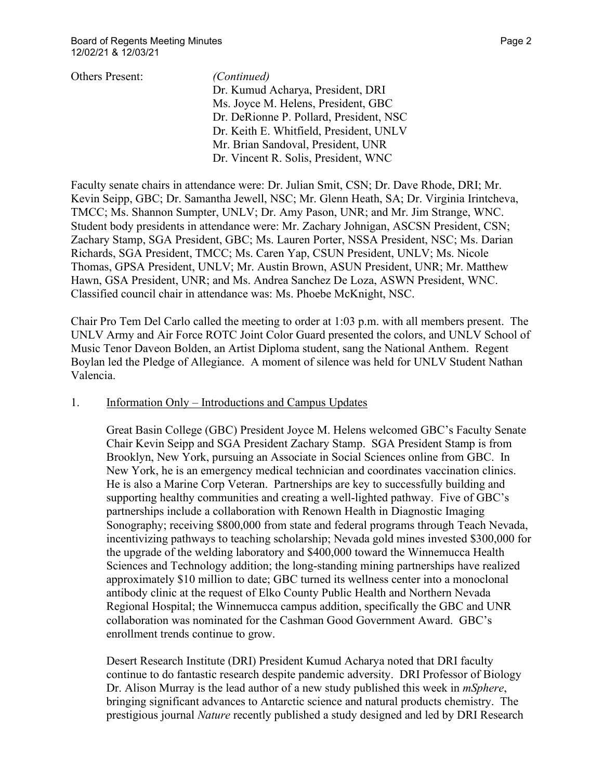Others Present: *(Continued)* Dr. Kumud Acharya, President, DRI Ms. Joyce M. Helens, President, GBC Dr. DeRionne P. Pollard, President, NSC Dr. Keith E. Whitfield, President, UNLV Mr. Brian Sandoval, President, UNR Dr. Vincent R. Solis, President, WNC

Faculty senate chairs in attendance were: Dr. Julian Smit, CSN; Dr. Dave Rhode, DRI; Mr. Kevin Seipp, GBC; Dr. Samantha Jewell, NSC; Mr. Glenn Heath, SA; Dr. Virginia Irintcheva, TMCC; Ms. Shannon Sumpter, UNLV; Dr. Amy Pason, UNR; and Mr. Jim Strange, WNC. Student body presidents in attendance were: Mr. Zachary Johnigan, ASCSN President, CSN; Zachary Stamp, SGA President, GBC; Ms. Lauren Porter, NSSA President, NSC; Ms. Darian Richards, SGA President, TMCC; Ms. Caren Yap, CSUN President, UNLV; Ms. Nicole Thomas, GPSA President, UNLV; Mr. Austin Brown, ASUN President, UNR; Mr. Matthew Hawn, GSA President, UNR; and Ms. Andrea Sanchez De Loza, ASWN President, WNC. Classified council chair in attendance was: Ms. Phoebe McKnight, NSC.

Chair Pro Tem Del Carlo called the meeting to order at 1:03 p.m. with all members present. The UNLV Army and Air Force ROTC Joint Color Guard presented the colors, and UNLV School of Music Tenor Daveon Bolden, an Artist Diploma student, sang the National Anthem. Regent Boylan led the Pledge of Allegiance. A moment of silence was held for UNLV Student Nathan Valencia.

### 1. Information Only – Introductions and Campus Updates

Great Basin College (GBC) President Joyce M. Helens welcomed GBC's Faculty Senate Chair Kevin Seipp and SGA President Zachary Stamp. SGA President Stamp is from Brooklyn, New York, pursuing an Associate in Social Sciences online from GBC. In New York, he is an emergency medical technician and coordinates vaccination clinics. He is also a Marine Corp Veteran. Partnerships are key to successfully building and supporting healthy communities and creating a well-lighted pathway. Five of GBC's partnerships include a collaboration with Renown Health in Diagnostic Imaging Sonography; receiving \$800,000 from state and federal programs through Teach Nevada, incentivizing pathways to teaching scholarship; Nevada gold mines invested \$300,000 for the upgrade of the welding laboratory and \$400,000 toward the Winnemucca Health Sciences and Technology addition; the long-standing mining partnerships have realized approximately \$10 million to date; GBC turned its wellness center into a monoclonal antibody clinic at the request of Elko County Public Health and Northern Nevada Regional Hospital; the Winnemucca campus addition, specifically the GBC and UNR collaboration was nominated for the Cashman Good Government Award. GBC's enrollment trends continue to grow.

Desert Research Institute (DRI) President Kumud Acharya noted that DRI faculty continue to do fantastic research despite pandemic adversity. DRI Professor of Biology Dr. Alison Murray is the lead author of a new study published this week in *mSphere*, bringing significant advances to Antarctic science and natural products chemistry. The prestigious journal *Nature* recently published a study designed and led by DRI Research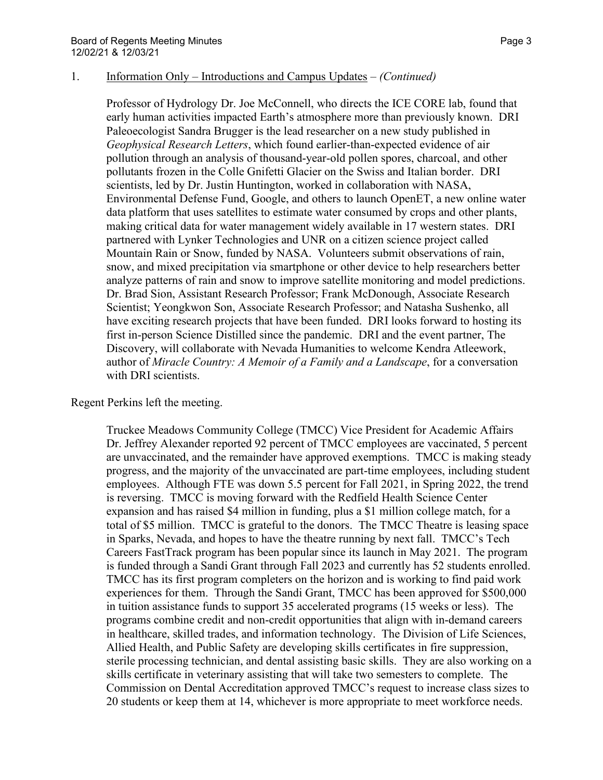Professor of Hydrology Dr. Joe McConnell, who directs the ICE CORE lab, found that early human activities impacted Earth's atmosphere more than previously known. DRI Paleoecologist Sandra Brugger is the lead researcher on a new study published in *Geophysical Research Letters*, which found earlier-than-expected evidence of air pollution through an analysis of thousand-year-old pollen spores, charcoal, and other pollutants frozen in the Colle Gnifetti Glacier on the Swiss and Italian border. DRI scientists, led by Dr. Justin Huntington, worked in collaboration with NASA, Environmental Defense Fund, Google, and others to launch OpenET, a new online water data platform that uses satellites to estimate water consumed by crops and other plants, making critical data for water management widely available in 17 western states. DRI partnered with Lynker Technologies and UNR on a citizen science project called Mountain Rain or Snow, funded by NASA. Volunteers submit observations of rain, snow, and mixed precipitation via smartphone or other device to help researchers better analyze patterns of rain and snow to improve satellite monitoring and model predictions. Dr. Brad Sion, Assistant Research Professor; Frank McDonough, Associate Research Scientist; Yeongkwon Son, Associate Research Professor; and Natasha Sushenko, all have exciting research projects that have been funded. DRI looks forward to hosting its first in-person Science Distilled since the pandemic. DRI and the event partner, The Discovery, will collaborate with Nevada Humanities to welcome Kendra Atleework, author of *Miracle Country: A Memoir of a Family and a Landscape*, for a conversation with DRI scientists.

Regent Perkins left the meeting.

Truckee Meadows Community College (TMCC) Vice President for Academic Affairs Dr. Jeffrey Alexander reported 92 percent of TMCC employees are vaccinated, 5 percent are unvaccinated, and the remainder have approved exemptions. TMCC is making steady progress, and the majority of the unvaccinated are part-time employees, including student employees. Although FTE was down 5.5 percent for Fall 2021, in Spring 2022, the trend is reversing. TMCC is moving forward with the Redfield Health Science Center expansion and has raised \$4 million in funding, plus a \$1 million college match, for a total of \$5 million. TMCC is grateful to the donors. The TMCC Theatre is leasing space in Sparks, Nevada, and hopes to have the theatre running by next fall. TMCC's Tech Careers FastTrack program has been popular since its launch in May 2021. The program is funded through a Sandi Grant through Fall 2023 and currently has 52 students enrolled. TMCC has its first program completers on the horizon and is working to find paid work experiences for them. Through the Sandi Grant, TMCC has been approved for \$500,000 in tuition assistance funds to support 35 accelerated programs (15 weeks or less). The programs combine credit and non-credit opportunities that align with in-demand careers in healthcare, skilled trades, and information technology. The Division of Life Sciences, Allied Health, and Public Safety are developing skills certificates in fire suppression, sterile processing technician, and dental assisting basic skills. They are also working on a skills certificate in veterinary assisting that will take two semesters to complete. The Commission on Dental Accreditation approved TMCC's request to increase class sizes to 20 students or keep them at 14, whichever is more appropriate to meet workforce needs.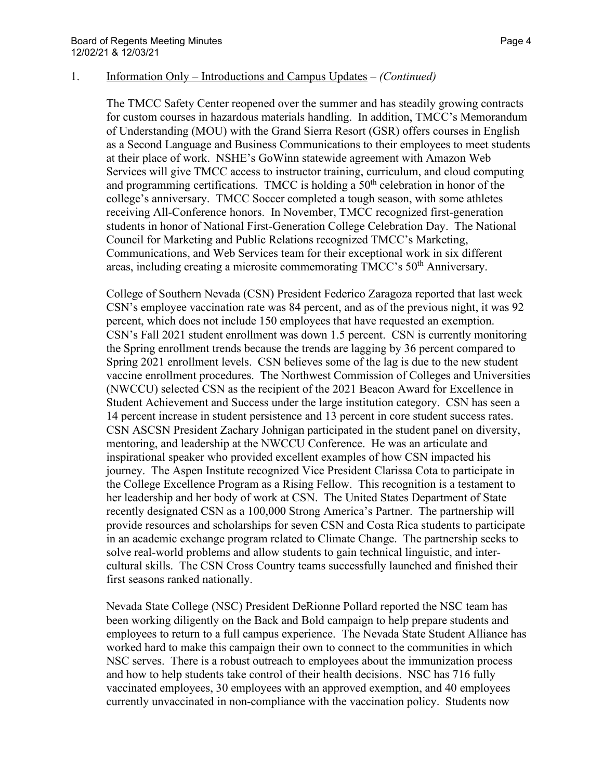The TMCC Safety Center reopened over the summer and has steadily growing contracts for custom courses in hazardous materials handling. In addition, TMCC's Memorandum of Understanding (MOU) with the Grand Sierra Resort (GSR) offers courses in English as a Second Language and Business Communications to their employees to meet students at their place of work. NSHE's GoWinn statewide agreement with Amazon Web Services will give TMCC access to instructor training, curriculum, and cloud computing and programming certifications. TMCC is holding a  $50<sup>th</sup>$  celebration in honor of the college's anniversary. TMCC Soccer completed a tough season, with some athletes receiving All-Conference honors. In November, TMCC recognized first-generation students in honor of National First-Generation College Celebration Day. The National Council for Marketing and Public Relations recognized TMCC's Marketing, Communications, and Web Services team for their exceptional work in six different areas, including creating a microsite commemorating TMCC's 50<sup>th</sup> Anniversary.

College of Southern Nevada (CSN) President Federico Zaragoza reported that last week CSN's employee vaccination rate was 84 percent, and as of the previous night, it was 92 percent, which does not include 150 employees that have requested an exemption. CSN's Fall 2021 student enrollment was down 1.5 percent. CSN is currently monitoring the Spring enrollment trends because the trends are lagging by 36 percent compared to Spring 2021 enrollment levels. CSN believes some of the lag is due to the new student vaccine enrollment procedures. The Northwest Commission of Colleges and Universities (NWCCU) selected CSN as the recipient of the 2021 Beacon Award for Excellence in Student Achievement and Success under the large institution category. CSN has seen a 14 percent increase in student persistence and 13 percent in core student success rates. CSN ASCSN President Zachary Johnigan participated in the student panel on diversity, mentoring, and leadership at the NWCCU Conference. He was an articulate and inspirational speaker who provided excellent examples of how CSN impacted his journey. The Aspen Institute recognized Vice President Clarissa Cota to participate in the College Excellence Program as a Rising Fellow. This recognition is a testament to her leadership and her body of work at CSN. The United States Department of State recently designated CSN as a 100,000 Strong America's Partner. The partnership will provide resources and scholarships for seven CSN and Costa Rica students to participate in an academic exchange program related to Climate Change. The partnership seeks to solve real-world problems and allow students to gain technical linguistic, and intercultural skills. The CSN Cross Country teams successfully launched and finished their first seasons ranked nationally.

Nevada State College (NSC) President DeRionne Pollard reported the NSC team has been working diligently on the Back and Bold campaign to help prepare students and employees to return to a full campus experience. The Nevada State Student Alliance has worked hard to make this campaign their own to connect to the communities in which NSC serves. There is a robust outreach to employees about the immunization process and how to help students take control of their health decisions. NSC has 716 fully vaccinated employees, 30 employees with an approved exemption, and 40 employees currently unvaccinated in non-compliance with the vaccination policy. Students now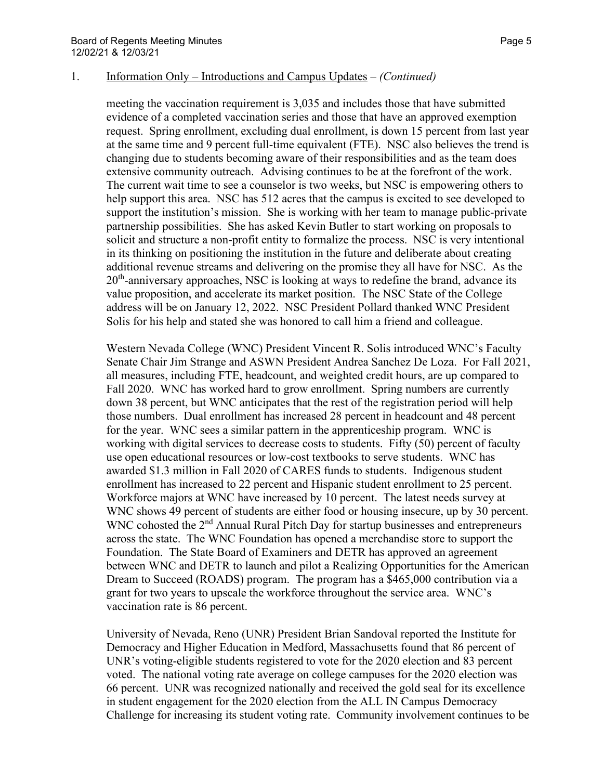meeting the vaccination requirement is 3,035 and includes those that have submitted evidence of a completed vaccination series and those that have an approved exemption request. Spring enrollment, excluding dual enrollment, is down 15 percent from last year at the same time and 9 percent full-time equivalent (FTE). NSC also believes the trend is changing due to students becoming aware of their responsibilities and as the team does extensive community outreach. Advising continues to be at the forefront of the work. The current wait time to see a counselor is two weeks, but NSC is empowering others to help support this area. NSC has 512 acres that the campus is excited to see developed to support the institution's mission. She is working with her team to manage public-private partnership possibilities. She has asked Kevin Butler to start working on proposals to solicit and structure a non-profit entity to formalize the process. NSC is very intentional in its thinking on positioning the institution in the future and deliberate about creating additional revenue streams and delivering on the promise they all have for NSC. As the  $20<sup>th</sup>$ -anniversary approaches, NSC is looking at ways to redefine the brand, advance its value proposition, and accelerate its market position. The NSC State of the College address will be on January 12, 2022. NSC President Pollard thanked WNC President Solis for his help and stated she was honored to call him a friend and colleague.

Western Nevada College (WNC) President Vincent R. Solis introduced WNC's Faculty Senate Chair Jim Strange and ASWN President Andrea Sanchez De Loza. For Fall 2021, all measures, including FTE, headcount, and weighted credit hours, are up compared to Fall 2020. WNC has worked hard to grow enrollment. Spring numbers are currently down 38 percent, but WNC anticipates that the rest of the registration period will help those numbers. Dual enrollment has increased 28 percent in headcount and 48 percent for the year. WNC sees a similar pattern in the apprenticeship program. WNC is working with digital services to decrease costs to students. Fifty (50) percent of faculty use open educational resources or low-cost textbooks to serve students. WNC has awarded \$1.3 million in Fall 2020 of CARES funds to students. Indigenous student enrollment has increased to 22 percent and Hispanic student enrollment to 25 percent. Workforce majors at WNC have increased by 10 percent. The latest needs survey at WNC shows 49 percent of students are either food or housing insecure, up by 30 percent. WNC cohosted the  $2<sup>nd</sup>$  Annual Rural Pitch Day for startup businesses and entrepreneurs across the state. The WNC Foundation has opened a merchandise store to support the Foundation. The State Board of Examiners and DETR has approved an agreement between WNC and DETR to launch and pilot a Realizing Opportunities for the American Dream to Succeed (ROADS) program. The program has a \$465,000 contribution via a grant for two years to upscale the workforce throughout the service area. WNC's vaccination rate is 86 percent.

University of Nevada, Reno (UNR) President Brian Sandoval reported the Institute for Democracy and Higher Education in Medford, Massachusetts found that 86 percent of UNR's voting-eligible students registered to vote for the 2020 election and 83 percent voted. The national voting rate average on college campuses for the 2020 election was 66 percent. UNR was recognized nationally and received the gold seal for its excellence in student engagement for the 2020 election from the ALL IN Campus Democracy Challenge for increasing its student voting rate. Community involvement continues to be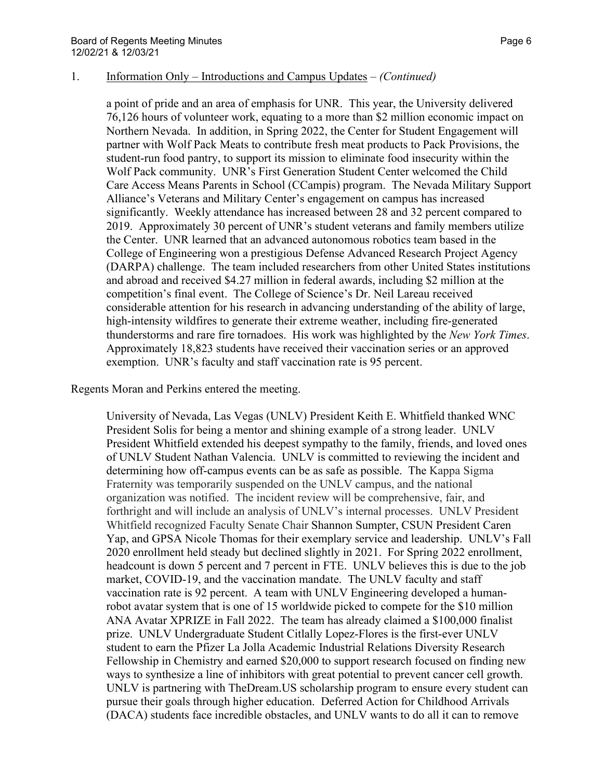a point of pride and an area of emphasis for UNR. This year, the University delivered 76,126 hours of volunteer work, equating to a more than \$2 million economic impact on Northern Nevada. In addition, in Spring 2022, the Center for Student Engagement will partner with Wolf Pack Meats to contribute fresh meat products to Pack Provisions, the student-run food pantry, to support its mission to eliminate food insecurity within the Wolf Pack community. UNR's First Generation Student Center welcomed the Child Care Access Means Parents in School (CCampis) program. The Nevada Military Support Alliance's Veterans and Military Center's engagement on campus has increased significantly. Weekly attendance has increased between 28 and 32 percent compared to 2019. Approximately 30 percent of UNR's student veterans and family members utilize the Center. UNR learned that an advanced autonomous robotics team based in the College of Engineering won a prestigious Defense Advanced Research Project Agency (DARPA) challenge. The team included researchers from other United States institutions and abroad and received \$4.27 million in federal awards, including \$2 million at the competition's final event. The College of Science's Dr. Neil Lareau received considerable attention for his research in advancing understanding of the ability of large, high-intensity wildfires to generate their extreme weather, including fire-generated thunderstorms and rare fire tornadoes. His work was highlighted by the *New York Times*. Approximately 18,823 students have received their vaccination series or an approved exemption. UNR's faculty and staff vaccination rate is 95 percent.

Regents Moran and Perkins entered the meeting.

University of Nevada, Las Vegas (UNLV) President Keith E. Whitfield thanked WNC President Solis for being a mentor and shining example of a strong leader. UNLV President Whitfield extended his deepest sympathy to the family, friends, and loved ones of UNLV Student Nathan Valencia. UNLV is committed to reviewing the incident and determining how off-campus events can be as safe as possible. The Kappa Sigma Fraternity was temporarily suspended on the UNLV campus, and the national organization was notified. The incident review will be comprehensive, fair, and forthright and will include an analysis of UNLV's internal processes. UNLV President Whitfield recognized Faculty Senate Chair Shannon Sumpter, CSUN President Caren Yap, and GPSA Nicole Thomas for their exemplary service and leadership. UNLV's Fall 2020 enrollment held steady but declined slightly in 2021. For Spring 2022 enrollment, headcount is down 5 percent and 7 percent in FTE. UNLV believes this is due to the job market, COVID-19, and the vaccination mandate. The UNLV faculty and staff vaccination rate is 92 percent. A team with UNLV Engineering developed a humanrobot avatar system that is one of 15 worldwide picked to compete for the \$10 million ANA Avatar XPRIZE in Fall 2022. The team has already claimed a \$100,000 finalist prize. UNLV Undergraduate Student Citlally Lopez-Flores is the first-ever UNLV student to earn the Pfizer La Jolla Academic Industrial Relations Diversity Research Fellowship in Chemistry and earned \$20,000 to support research focused on finding new ways to synthesize a line of inhibitors with great potential to prevent cancer cell growth. UNLV is partnering with TheDream.US scholarship program to ensure every student can pursue their goals through higher education. Deferred Action for Childhood Arrivals (DACA) students face incredible obstacles, and UNLV wants to do all it can to remove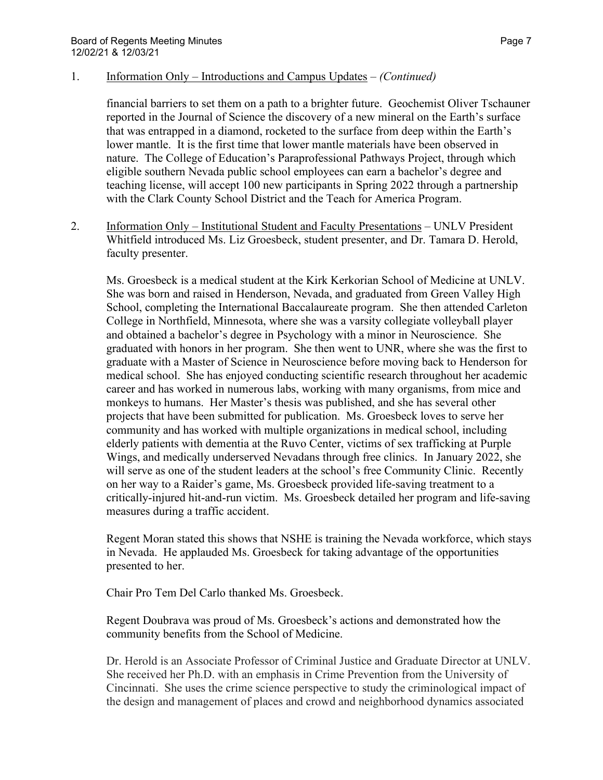financial barriers to set them on a path to a brighter future. Geochemist Oliver Tschauner reported in the Journal of Science the discovery of a new mineral on the Earth's surface that was entrapped in a diamond, rocketed to the surface from deep within the Earth's lower mantle. It is the first time that lower mantle materials have been observed in nature. The College of Education's Paraprofessional Pathways Project, through which eligible southern Nevada public school employees can earn a bachelor's degree and teaching license, will accept 100 new participants in Spring 2022 through a partnership with the Clark County School District and the Teach for America Program.

2. Information Only – Institutional Student and Faculty Presentations – UNLV President Whitfield introduced Ms. Liz Groesbeck, student presenter, and Dr. Tamara D. Herold, faculty presenter.

Ms. Groesbeck is a medical student at the Kirk Kerkorian School of Medicine at UNLV. She was born and raised in Henderson, Nevada, and graduated from Green Valley High School, completing the International Baccalaureate program. She then attended Carleton College in Northfield, Minnesota, where she was a varsity collegiate volleyball player and obtained a bachelor's degree in Psychology with a minor in Neuroscience. She graduated with honors in her program. She then went to UNR, where she was the first to graduate with a Master of Science in Neuroscience before moving back to Henderson for medical school. She has enjoyed conducting scientific research throughout her academic career and has worked in numerous labs, working with many organisms, from mice and monkeys to humans. Her Master's thesis was published, and she has several other projects that have been submitted for publication. Ms. Groesbeck loves to serve her community and has worked with multiple organizations in medical school, including elderly patients with dementia at the Ruvo Center, victims of sex trafficking at Purple Wings, and medically underserved Nevadans through free clinics. In January 2022, she will serve as one of the student leaders at the school's free Community Clinic. Recently on her way to a Raider's game, Ms. Groesbeck provided life-saving treatment to a critically-injured hit-and-run victim. Ms. Groesbeck detailed her program and life-saving measures during a traffic accident.

Regent Moran stated this shows that NSHE is training the Nevada workforce, which stays in Nevada. He applauded Ms. Groesbeck for taking advantage of the opportunities presented to her.

Chair Pro Tem Del Carlo thanked Ms. Groesbeck.

Regent Doubrava was proud of Ms. Groesbeck's actions and demonstrated how the community benefits from the School of Medicine.

Dr. Herold is an Associate Professor of Criminal Justice and Graduate Director at UNLV. She received her Ph.D. with an emphasis in Crime Prevention from the University of Cincinnati. She uses the crime science perspective to study the criminological impact of the design and management of places and crowd and neighborhood dynamics associated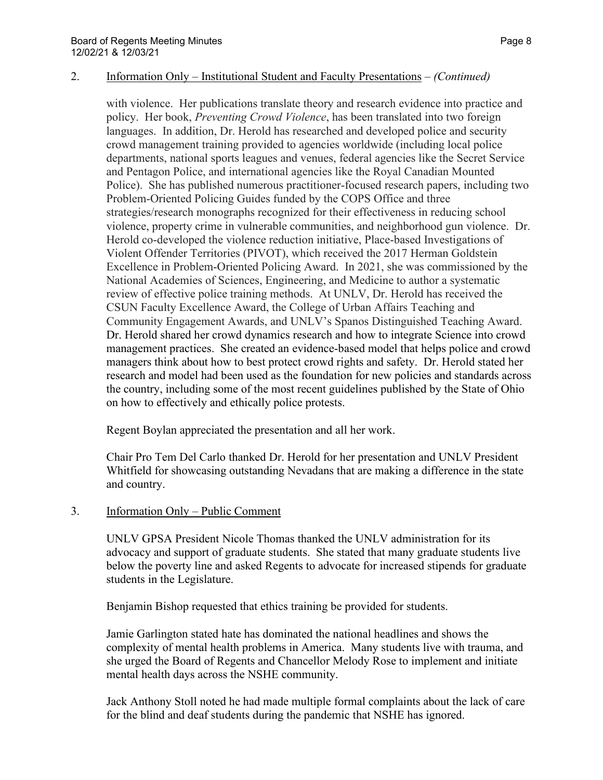#### 2. Information Only – Institutional Student and Faculty Presentations – *(Continued)*

with violence. Her publications translate theory and research evidence into practice and policy. Her book, *Preventing Crowd Violence*, has been translated into two foreign languages. In addition, Dr. Herold has researched and developed police and security crowd management training provided to agencies worldwide (including local police departments, national sports leagues and venues, federal agencies like the Secret Service and Pentagon Police, and international agencies like the Royal Canadian Mounted Police). She has published numerous practitioner-focused research papers, including two Problem-Oriented Policing Guides funded by the COPS Office and three strategies/research monographs recognized for their effectiveness in reducing school violence, property crime in vulnerable communities, and neighborhood gun violence. Dr. Herold co-developed the violence reduction initiative, Place-based Investigations of Violent Offender Territories (PIVOT), which received the 2017 Herman Goldstein Excellence in Problem-Oriented Policing Award. In 2021, she was commissioned by the National Academies of Sciences, Engineering, and Medicine to author a systematic review of effective police training methods. At UNLV, Dr. Herold has received the CSUN Faculty Excellence Award, the College of Urban Affairs Teaching and Community Engagement Awards, and UNLV's Spanos Distinguished Teaching Award. Dr. Herold shared her crowd dynamics research and how to integrate Science into crowd management practices. She created an evidence-based model that helps police and crowd managers think about how to best protect crowd rights and safety. Dr. Herold stated her research and model had been used as the foundation for new policies and standards across the country, including some of the most recent guidelines published by the State of Ohio on how to effectively and ethically police protests.

Regent Boylan appreciated the presentation and all her work.

Chair Pro Tem Del Carlo thanked Dr. Herold for her presentation and UNLV President Whitfield for showcasing outstanding Nevadans that are making a difference in the state and country.

#### 3. Information Only – Public Comment

UNLV GPSA President Nicole Thomas thanked the UNLV administration for its advocacy and support of graduate students. She stated that many graduate students live below the poverty line and asked Regents to advocate for increased stipends for graduate students in the Legislature.

Benjamin Bishop requested that ethics training be provided for students.

Jamie Garlington stated hate has dominated the national headlines and shows the complexity of mental health problems in America. Many students live with trauma, and she urged the Board of Regents and Chancellor Melody Rose to implement and initiate mental health days across the NSHE community.

Jack Anthony Stoll noted he had made multiple formal complaints about the lack of care for the blind and deaf students during the pandemic that NSHE has ignored.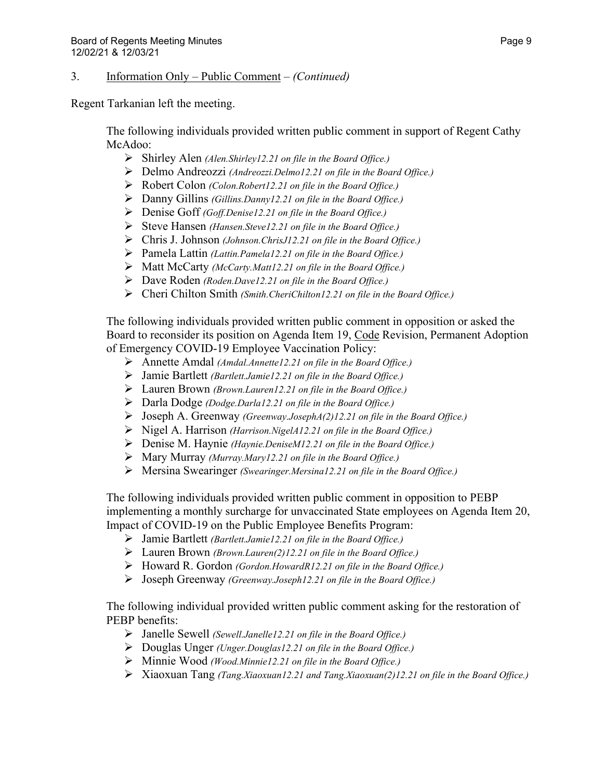#### 3. Information Only – Public Comment – *(Continued)*

Regent Tarkanian left the meeting.

The following individuals provided written public comment in support of Regent Cathy McAdoo:

- Shirley Alen *(Alen.Shirley12.21 on file in the Board Office.)*
- Delmo Andreozzi *(Andreozzi.Delmo12.21 on file in the Board Office.)*
- Robert Colon *(Colon.Robert12.21 on file in the Board Office.)*
- Danny Gillins *(Gillins.Danny12.21 on file in the Board Office.)*
- Denise Goff *(Goff.Denise12.21 on file in the Board Office.)*
- Steve Hansen *(Hansen.Steve12.21 on file in the Board Office.)*
- Chris J. Johnson *(Johnson.ChrisJ12.21 on file in the Board Office.)*
- Pamela Lattin *(Lattin.Pamela12.21 on file in the Board Office.)*
- Matt McCarty *(McCarty.Matt12.21 on file in the Board Office.)*
- Dave Roden *(Roden.Dave12.21 on file in the Board Office.)*
- Cheri Chilton Smith *(Smith.CheriChilton12.21 on file in the Board Office.)*

The following individuals provided written public comment in opposition or asked the Board to reconsider its position on Agenda Item 19, Code Revision, Permanent Adoption of Emergency COVID-19 Employee Vaccination Policy:

- Annette Amdal *(Amdal.Annette12.21 on file in the Board Office.)*
- Jamie Bartlett *(Bartlett.Jamie12.21 on file in the Board Office.)*
- Lauren Brown *(Brown.Lauren12.21 on file in the Board Office.)*
- Darla Dodge *(Dodge.Darla12.21 on file in the Board Office.)*
- Joseph A. Greenway *(Greenway.JosephA(2)12.21 on file in the Board Office.)*
- Nigel A. Harrison *(Harrison.NigelA12.21 on file in the Board Office.)*
- Denise M. Haynie *(Haynie.DeniseM12.21 on file in the Board Office.)*
- Mary Murray *(Murray.Mary12.21 on file in the Board Office.)*
- Mersina Swearinger *(Swearinger.Mersina12.21 on file in the Board Office.)*

The following individuals provided written public comment in opposition to PEBP implementing a monthly surcharge for unvaccinated State employees on Agenda Item 20, Impact of COVID-19 on the Public Employee Benefits Program:

- Jamie Bartlett *(Bartlett.Jamie12.21 on file in the Board Office.)*
- Lauren Brown *(Brown.Lauren(2)12.21 on file in the Board Office.)*
- Howard R. Gordon *(Gordon.HowardR12.21 on file in the Board Office.)*
- Joseph Greenway *(Greenway.Joseph12.21 on file in the Board Office.)*

The following individual provided written public comment asking for the restoration of PEBP benefits:

- Janelle Sewell *(Sewell.Janelle12.21 on file in the Board Office.)*
- Douglas Unger *(Unger.Douglas12.21 on file in the Board Office.)*
- Minnie Wood *(Wood.Minnie12.21 on file in the Board Office.)*
- Xiaoxuan Tang *(Tang.Xiaoxuan12.21 and Tang.Xiaoxuan(2)12.21 on file in the Board Office.)*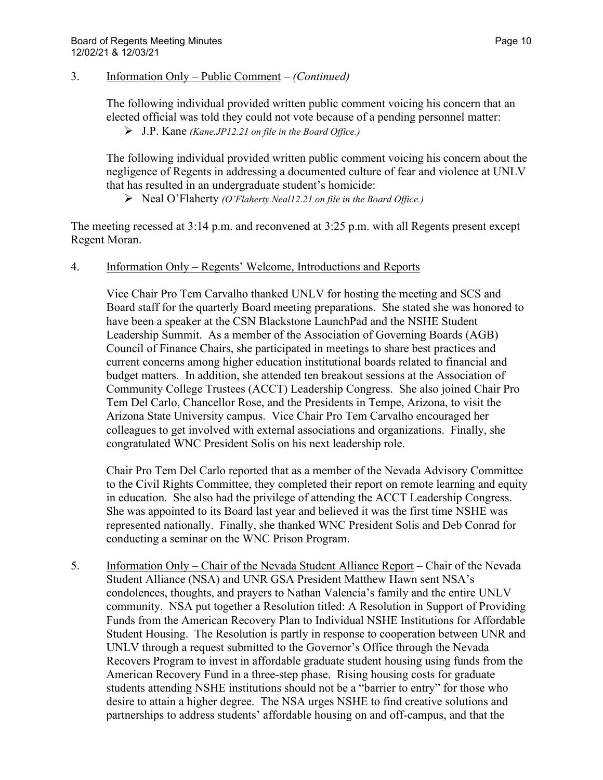#### 3. Information Only – Public Comment – *(Continued)*

The following individual provided written public comment voicing his concern that an elected official was told they could not vote because of a pending personnel matter: J.P. Kane *(Kane.JP12.21 on file in the Board Office.)*

The following individual provided written public comment voicing his concern about the negligence of Regents in addressing a documented culture of fear and violence at UNLV that has resulted in an undergraduate student's homicide:

Neal O'Flaherty *(O'Flaherty.Neal12.21 on file in the Board Office.)*

The meeting recessed at 3:14 p.m. and reconvened at 3:25 p.m. with all Regents present except Regent Moran.

#### 4. Information Only – Regents' Welcome, Introductions and Reports

Vice Chair Pro Tem Carvalho thanked UNLV for hosting the meeting and SCS and Board staff for the quarterly Board meeting preparations. She stated she was honored to have been a speaker at the CSN Blackstone LaunchPad and the NSHE Student Leadership Summit. As a member of the Association of Governing Boards (AGB) Council of Finance Chairs, she participated in meetings to share best practices and current concerns among higher education institutional boards related to financial and budget matters. In addition, she attended ten breakout sessions at the Association of Community College Trustees (ACCT) Leadership Congress. She also joined Chair Pro Tem Del Carlo, Chancellor Rose, and the Presidents in Tempe, Arizona, to visit the Arizona State University campus. Vice Chair Pro Tem Carvalho encouraged her colleagues to get involved with external associations and organizations. Finally, she congratulated WNC President Solis on his next leadership role.

Chair Pro Tem Del Carlo reported that as a member of the Nevada Advisory Committee to the Civil Rights Committee, they completed their report on remote learning and equity in education. She also had the privilege of attending the ACCT Leadership Congress. She was appointed to its Board last year and believed it was the first time NSHE was represented nationally. Finally, she thanked WNC President Solis and Deb Conrad for conducting a seminar on the WNC Prison Program.

5. Information Only – Chair of the Nevada Student Alliance Report – Chair of the Nevada Student Alliance (NSA) and UNR GSA President Matthew Hawn sent NSA's condolences, thoughts, and prayers to Nathan Valencia's family and the entire UNLV community. NSA put together a Resolution titled: A Resolution in Support of Providing Funds from the American Recovery Plan to Individual NSHE Institutions for Affordable Student Housing. The Resolution is partly in response to cooperation between UNR and UNLV through a request submitted to the Governor's Office through the Nevada Recovers Program to invest in affordable graduate student housing using funds from the American Recovery Fund in a three-step phase. Rising housing costs for graduate students attending NSHE institutions should not be a "barrier to entry" for those who desire to attain a higher degree. The NSA urges NSHE to find creative solutions and partnerships to address students' affordable housing on and off-campus, and that the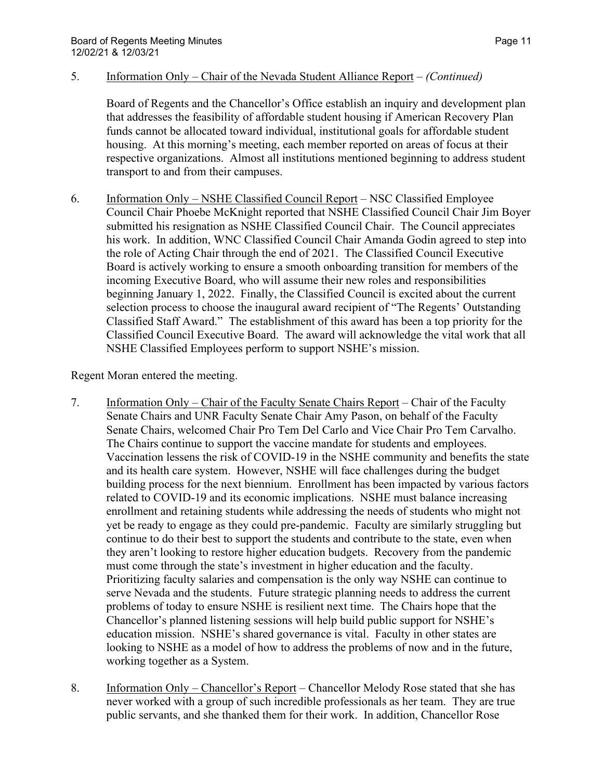#### 5. Information Only – Chair of the Nevada Student Alliance Report – *(Continued)*

Board of Regents and the Chancellor's Office establish an inquiry and development plan that addresses the feasibility of affordable student housing if American Recovery Plan funds cannot be allocated toward individual, institutional goals for affordable student housing. At this morning's meeting, each member reported on areas of focus at their respective organizations. Almost all institutions mentioned beginning to address student transport to and from their campuses.

6. Information Only – NSHE Classified Council Report – NSC Classified Employee Council Chair Phoebe McKnight reported that NSHE Classified Council Chair Jim Boyer submitted his resignation as NSHE Classified Council Chair. The Council appreciates his work. In addition, WNC Classified Council Chair Amanda Godin agreed to step into the role of Acting Chair through the end of 2021. The Classified Council Executive Board is actively working to ensure a smooth onboarding transition for members of the incoming Executive Board, who will assume their new roles and responsibilities beginning January 1, 2022. Finally, the Classified Council is excited about the current selection process to choose the inaugural award recipient of "The Regents' Outstanding Classified Staff Award." The establishment of this award has been a top priority for the Classified Council Executive Board. The award will acknowledge the vital work that all NSHE Classified Employees perform to support NSHE's mission.

Regent Moran entered the meeting.

- 7. Information Only Chair of the Faculty Senate Chairs Report Chair of the Faculty Senate Chairs and UNR Faculty Senate Chair Amy Pason, on behalf of the Faculty Senate Chairs, welcomed Chair Pro Tem Del Carlo and Vice Chair Pro Tem Carvalho. The Chairs continue to support the vaccine mandate for students and employees. Vaccination lessens the risk of COVID-19 in the NSHE community and benefits the state and its health care system. However, NSHE will face challenges during the budget building process for the next biennium. Enrollment has been impacted by various factors related to COVID-19 and its economic implications. NSHE must balance increasing enrollment and retaining students while addressing the needs of students who might not yet be ready to engage as they could pre-pandemic. Faculty are similarly struggling but continue to do their best to support the students and contribute to the state, even when they aren't looking to restore higher education budgets. Recovery from the pandemic must come through the state's investment in higher education and the faculty. Prioritizing faculty salaries and compensation is the only way NSHE can continue to serve Nevada and the students. Future strategic planning needs to address the current problems of today to ensure NSHE is resilient next time. The Chairs hope that the Chancellor's planned listening sessions will help build public support for NSHE's education mission. NSHE's shared governance is vital. Faculty in other states are looking to NSHE as a model of how to address the problems of now and in the future, working together as a System.
- 8. Information Only Chancellor's Report Chancellor Melody Rose stated that she has never worked with a group of such incredible professionals as her team. They are true public servants, and she thanked them for their work. In addition, Chancellor Rose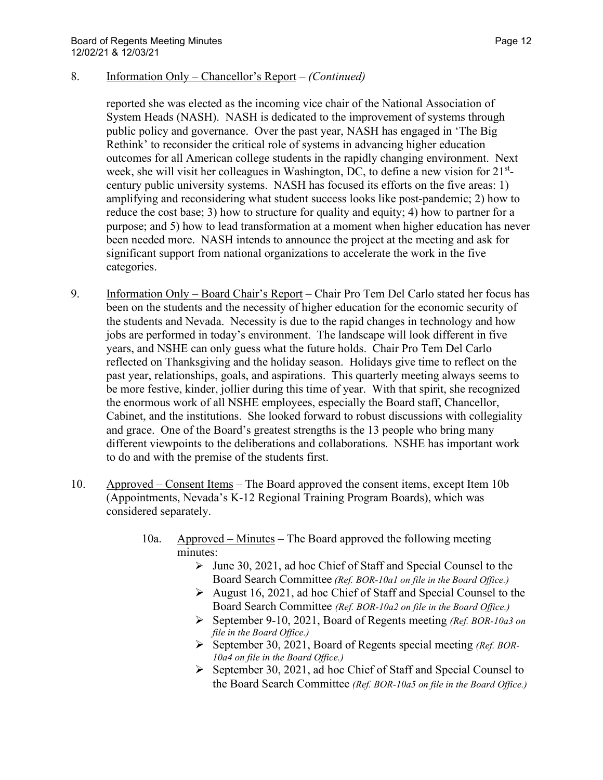#### 8. Information Only – Chancellor's Report – *(Continued)*

reported she was elected as the incoming vice chair of the National Association of System Heads (NASH). NASH is dedicated to the improvement of systems through public policy and governance. Over the past year, NASH has engaged in 'The Big Rethink' to reconsider the critical role of systems in advancing higher education outcomes for all American college students in the rapidly changing environment. Next week, she will visit her colleagues in Washington, DC, to define a new vision for 21<sup>st</sup>century public university systems. NASH has focused its efforts on the five areas: 1) amplifying and reconsidering what student success looks like post-pandemic; 2) how to reduce the cost base; 3) how to structure for quality and equity; 4) how to partner for a purpose; and 5) how to lead transformation at a moment when higher education has never been needed more. NASH intends to announce the project at the meeting and ask for significant support from national organizations to accelerate the work in the five categories.

- 9. Information Only Board Chair's Report Chair Pro Tem Del Carlo stated her focus has been on the students and the necessity of higher education for the economic security of the students and Nevada. Necessity is due to the rapid changes in technology and how jobs are performed in today's environment. The landscape will look different in five years, and NSHE can only guess what the future holds. Chair Pro Tem Del Carlo reflected on Thanksgiving and the holiday season. Holidays give time to reflect on the past year, relationships, goals, and aspirations. This quarterly meeting always seems to be more festive, kinder, jollier during this time of year. With that spirit, she recognized the enormous work of all NSHE employees, especially the Board staff, Chancellor, Cabinet, and the institutions. She looked forward to robust discussions with collegiality and grace. One of the Board's greatest strengths is the 13 people who bring many different viewpoints to the deliberations and collaborations. NSHE has important work to do and with the premise of the students first.
- 10. Approved Consent Items The Board approved the consent items, except Item 10b (Appointments, Nevada's K-12 Regional Training Program Boards), which was considered separately.
	- 10a. Approved Minutes The Board approved the following meeting minutes:
		- $\triangleright$  June 30, 2021, ad hoc Chief of Staff and Special Counsel to the Board Search Committee *(Ref. BOR-10a1 on file in the Board Office.)*
		- $\triangleright$  August 16, 2021, ad hoc Chief of Staff and Special Counsel to the Board Search Committee *(Ref. BOR-10a2 on file in the Board Office.)*
		- September 9-10, 2021, Board of Regents meeting *(Ref. BOR-10a3 on file in the Board Office.)*
		- September 30, 2021, Board of Regents special meeting *(Ref. BOR-10a4 on file in the Board Office.)*
		- $\triangleright$  September 30, 2021, ad hoc Chief of Staff and Special Counsel to the Board Search Committee *(Ref. BOR-10a5 on file in the Board Office.)*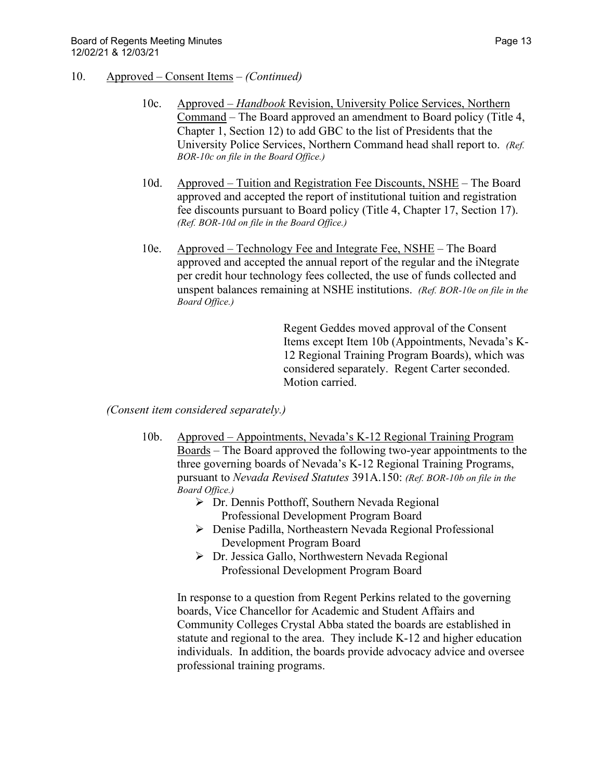- 10. Approved Consent Items *(Continued)*
	- 10c. Approved *Handbook* Revision, University Police Services, Northern Command – The Board approved an amendment to Board policy (Title 4, Chapter 1, Section 12) to add GBC to the list of Presidents that the University Police Services, Northern Command head shall report to. *(Ref. BOR-10c on file in the Board Office.)*
	- 10d. Approved Tuition and Registration Fee Discounts, NSHE The Board approved and accepted the report of institutional tuition and registration fee discounts pursuant to Board policy (Title 4, Chapter 17, Section 17). *(Ref. BOR-10d on file in the Board Office.)*
	- 10e. Approved Technology Fee and Integrate Fee, NSHE The Board approved and accepted the annual report of the regular and the iNtegrate per credit hour technology fees collected, the use of funds collected and unspent balances remaining at NSHE institutions. *(Ref. BOR-10e on file in the Board Office.)*

Regent Geddes moved approval of the Consent Items except Item 10b (Appointments, Nevada's K-12 Regional Training Program Boards), which was considered separately. Regent Carter seconded. Motion carried.

*(Consent item considered separately.)* 

- 10b. Approved Appointments, Nevada's K-12 Regional Training Program Boards – The Board approved the following two-year appointments to the three governing boards of Nevada's K-12 Regional Training Programs, pursuant to *Nevada Revised Statutes* 391A.150: *(Ref. BOR-10b on file in the Board Office.)*
	- Dr. Dennis Potthoff, Southern Nevada Regional Professional Development Program Board
	- Denise Padilla, Northeastern Nevada Regional Professional Development Program Board
	- Dr. Jessica Gallo, Northwestern Nevada Regional Professional Development Program Board

In response to a question from Regent Perkins related to the governing boards, Vice Chancellor for Academic and Student Affairs and Community Colleges Crystal Abba stated the boards are established in statute and regional to the area. They include K-12 and higher education individuals. In addition, the boards provide advocacy advice and oversee professional training programs.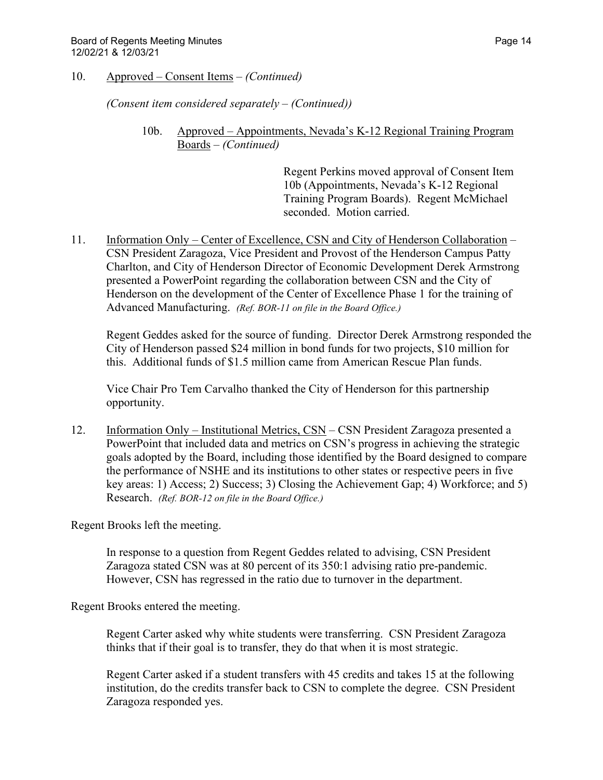10. Approved – Consent Items – *(Continued)*

*(Consent item considered separately – (Continued))* 

10b. Approved – Appointments, Nevada's K-12 Regional Training Program Boards – *(Continued)*

> Regent Perkins moved approval of Consent Item 10b (Appointments, Nevada's K-12 Regional Training Program Boards). Regent McMichael seconded. Motion carried.

11. Information Only – Center of Excellence, CSN and City of Henderson Collaboration – CSN President Zaragoza, Vice President and Provost of the Henderson Campus Patty Charlton, and City of Henderson Director of Economic Development Derek Armstrong presented a PowerPoint regarding the collaboration between CSN and the City of Henderson on the development of the Center of Excellence Phase 1 for the training of Advanced Manufacturing. *(Ref. BOR-11 on file in the Board Office.)*

Regent Geddes asked for the source of funding. Director Derek Armstrong responded the City of Henderson passed \$24 million in bond funds for two projects, \$10 million for this. Additional funds of \$1.5 million came from American Rescue Plan funds.

Vice Chair Pro Tem Carvalho thanked the City of Henderson for this partnership opportunity.

12. Information Only – Institutional Metrics, CSN – CSN President Zaragoza presented a PowerPoint that included data and metrics on CSN's progress in achieving the strategic goals adopted by the Board, including those identified by the Board designed to compare the performance of NSHE and its institutions to other states or respective peers in five key areas: 1) Access; 2) Success; 3) Closing the Achievement Gap; 4) Workforce; and 5) Research. *(Ref. BOR-12 on file in the Board Office.)*

Regent Brooks left the meeting.

In response to a question from Regent Geddes related to advising, CSN President Zaragoza stated CSN was at 80 percent of its 350:1 advising ratio pre-pandemic. However, CSN has regressed in the ratio due to turnover in the department.

Regent Brooks entered the meeting.

Regent Carter asked why white students were transferring. CSN President Zaragoza thinks that if their goal is to transfer, they do that when it is most strategic.

Regent Carter asked if a student transfers with 45 credits and takes 15 at the following institution, do the credits transfer back to CSN to complete the degree. CSN President Zaragoza responded yes.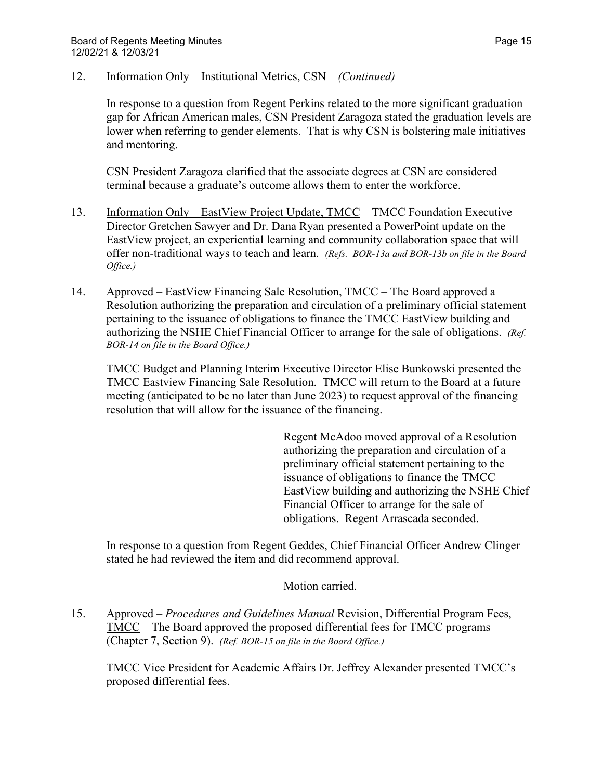#### 12. Information Only – Institutional Metrics, CSN – *(Continued)*

In response to a question from Regent Perkins related to the more significant graduation gap for African American males, CSN President Zaragoza stated the graduation levels are lower when referring to gender elements. That is why CSN is bolstering male initiatives and mentoring.

CSN President Zaragoza clarified that the associate degrees at CSN are considered terminal because a graduate's outcome allows them to enter the workforce.

- 13. Information Only EastView Project Update, TMCC TMCC Foundation Executive Director Gretchen Sawyer and Dr. Dana Ryan presented a PowerPoint update on the EastView project, an experiential learning and community collaboration space that will offer non-traditional ways to teach and learn. *(Refs. BOR-13a and BOR-13b on file in the Board Office.)*
- 14. Approved EastView Financing Sale Resolution, TMCC The Board approved a Resolution authorizing the preparation and circulation of a preliminary official statement pertaining to the issuance of obligations to finance the TMCC EastView building and authorizing the NSHE Chief Financial Officer to arrange for the sale of obligations. *(Ref. BOR-14 on file in the Board Office.)*

TMCC Budget and Planning Interim Executive Director Elise Bunkowski presented the TMCC Eastview Financing Sale Resolution. TMCC will return to the Board at a future meeting (anticipated to be no later than June 2023) to request approval of the financing resolution that will allow for the issuance of the financing.

> Regent McAdoo moved approval of a Resolution authorizing the preparation and circulation of a preliminary official statement pertaining to the issuance of obligations to finance the TMCC EastView building and authorizing the NSHE Chief Financial Officer to arrange for the sale of obligations. Regent Arrascada seconded.

In response to a question from Regent Geddes, Chief Financial Officer Andrew Clinger stated he had reviewed the item and did recommend approval.

Motion carried.

15. Approved – *Procedures and Guidelines Manual* Revision, Differential Program Fees, TMCC – The Board approved the proposed differential fees for TMCC programs (Chapter 7, Section 9). *(Ref. BOR-15 on file in the Board Office.)*

TMCC Vice President for Academic Affairs Dr. Jeffrey Alexander presented TMCC's proposed differential fees.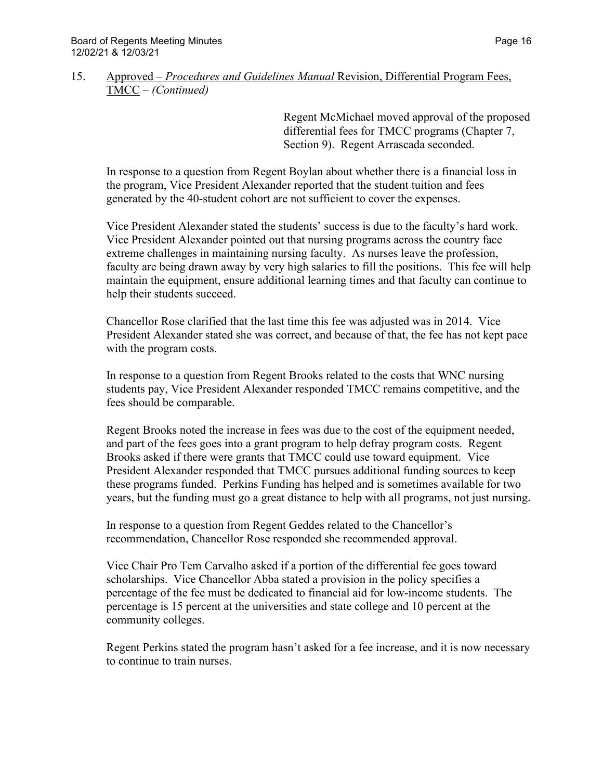### 15. Approved – *Procedures and Guidelines Manual* Revision, Differential Program Fees, TMCC – *(Continued)*

Regent McMichael moved approval of the proposed differential fees for TMCC programs (Chapter 7, Section 9). Regent Arrascada seconded.

In response to a question from Regent Boylan about whether there is a financial loss in the program, Vice President Alexander reported that the student tuition and fees generated by the 40-student cohort are not sufficient to cover the expenses.

Vice President Alexander stated the students' success is due to the faculty's hard work. Vice President Alexander pointed out that nursing programs across the country face extreme challenges in maintaining nursing faculty. As nurses leave the profession, faculty are being drawn away by very high salaries to fill the positions. This fee will help maintain the equipment, ensure additional learning times and that faculty can continue to help their students succeed.

Chancellor Rose clarified that the last time this fee was adjusted was in 2014. Vice President Alexander stated she was correct, and because of that, the fee has not kept pace with the program costs.

In response to a question from Regent Brooks related to the costs that WNC nursing students pay, Vice President Alexander responded TMCC remains competitive, and the fees should be comparable.

Regent Brooks noted the increase in fees was due to the cost of the equipment needed, and part of the fees goes into a grant program to help defray program costs. Regent Brooks asked if there were grants that TMCC could use toward equipment. Vice President Alexander responded that TMCC pursues additional funding sources to keep these programs funded. Perkins Funding has helped and is sometimes available for two years, but the funding must go a great distance to help with all programs, not just nursing.

In response to a question from Regent Geddes related to the Chancellor's recommendation, Chancellor Rose responded she recommended approval.

Vice Chair Pro Tem Carvalho asked if a portion of the differential fee goes toward scholarships. Vice Chancellor Abba stated a provision in the policy specifies a percentage of the fee must be dedicated to financial aid for low-income students. The percentage is 15 percent at the universities and state college and 10 percent at the community colleges.

Regent Perkins stated the program hasn't asked for a fee increase, and it is now necessary to continue to train nurses.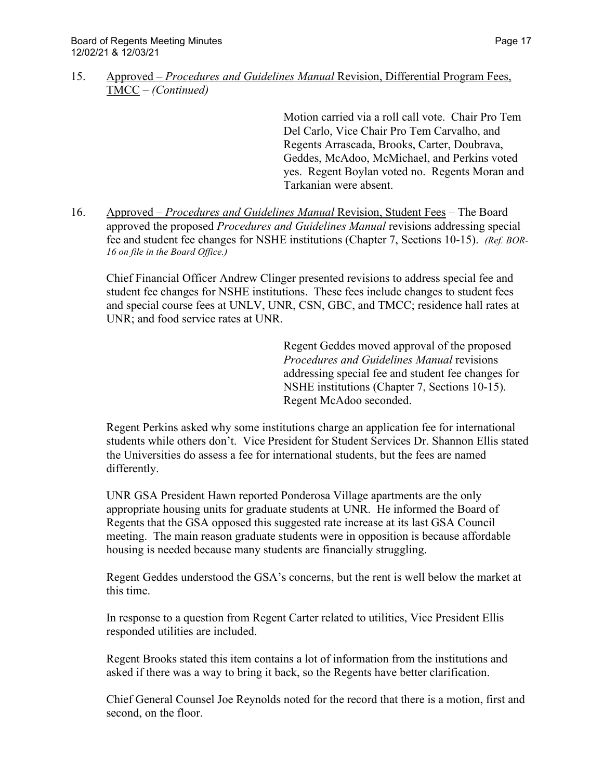15. Approved – *Procedures and Guidelines Manual* Revision, Differential Program Fees, TMCC – *(Continued)*

> Motion carried via a roll call vote. Chair Pro Tem Del Carlo, Vice Chair Pro Tem Carvalho, and Regents Arrascada, Brooks, Carter, Doubrava, Geddes, McAdoo, McMichael, and Perkins voted yes. Regent Boylan voted no. Regents Moran and Tarkanian were absent.

16. Approved – *Procedures and Guidelines Manual* Revision, Student Fees – The Board approved the proposed *Procedures and Guidelines Manual* revisions addressing special fee and student fee changes for NSHE institutions (Chapter 7, Sections 10-15). *(Ref. BOR-16 on file in the Board Office.)*

Chief Financial Officer Andrew Clinger presented revisions to address special fee and student fee changes for NSHE institutions. These fees include changes to student fees and special course fees at UNLV, UNR, CSN, GBC, and TMCC; residence hall rates at UNR; and food service rates at UNR.

> Regent Geddes moved approval of the proposed *Procedures and Guidelines Manual* revisions addressing special fee and student fee changes for NSHE institutions (Chapter 7, Sections 10-15). Regent McAdoo seconded.

Regent Perkins asked why some institutions charge an application fee for international students while others don't. Vice President for Student Services Dr. Shannon Ellis stated the Universities do assess a fee for international students, but the fees are named differently.

UNR GSA President Hawn reported Ponderosa Village apartments are the only appropriate housing units for graduate students at UNR. He informed the Board of Regents that the GSA opposed this suggested rate increase at its last GSA Council meeting. The main reason graduate students were in opposition is because affordable housing is needed because many students are financially struggling.

Regent Geddes understood the GSA's concerns, but the rent is well below the market at this time.

In response to a question from Regent Carter related to utilities, Vice President Ellis responded utilities are included.

Regent Brooks stated this item contains a lot of information from the institutions and asked if there was a way to bring it back, so the Regents have better clarification.

Chief General Counsel Joe Reynolds noted for the record that there is a motion, first and second, on the floor.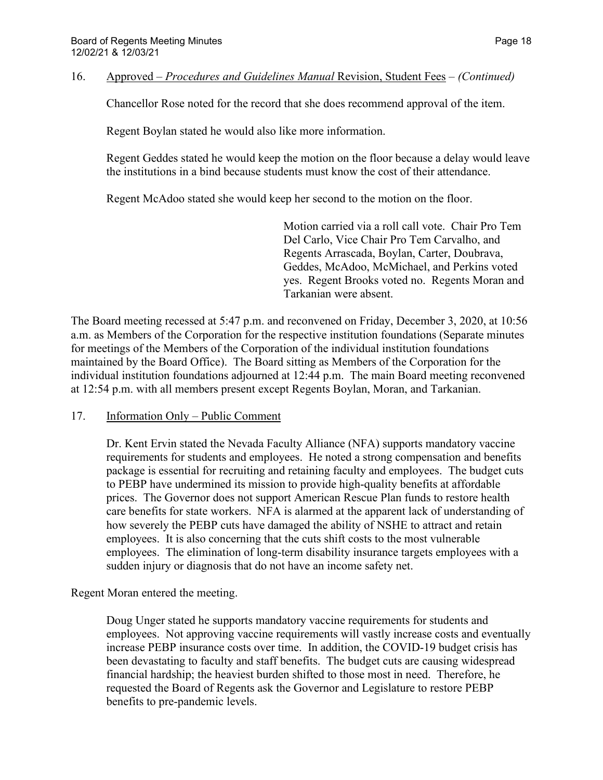16. Approved – *Procedures and Guidelines Manual* Revision, Student Fees – *(Continued)*

Chancellor Rose noted for the record that she does recommend approval of the item.

Regent Boylan stated he would also like more information.

Regent Geddes stated he would keep the motion on the floor because a delay would leave the institutions in a bind because students must know the cost of their attendance.

Regent McAdoo stated she would keep her second to the motion on the floor.

Motion carried via a roll call vote. Chair Pro Tem Del Carlo, Vice Chair Pro Tem Carvalho, and Regents Arrascada, Boylan, Carter, Doubrava, Geddes, McAdoo, McMichael, and Perkins voted yes. Regent Brooks voted no. Regents Moran and Tarkanian were absent.

The Board meeting recessed at 5:47 p.m. and reconvened on Friday, December 3, 2020, at 10:56 a.m. as Members of the Corporation for the respective institution foundations (Separate minutes for meetings of the Members of the Corporation of the individual institution foundations maintained by the Board Office). The Board sitting as Members of the Corporation for the individual institution foundations adjourned at 12:44 p.m. The main Board meeting reconvened at 12:54 p.m. with all members present except Regents Boylan, Moran, and Tarkanian.

# 17. Information Only – Public Comment

Dr. Kent Ervin stated the Nevada Faculty Alliance (NFA) supports mandatory vaccine requirements for students and employees. He noted a strong compensation and benefits package is essential for recruiting and retaining faculty and employees. The budget cuts to PEBP have undermined its mission to provide high-quality benefits at affordable prices. The Governor does not support American Rescue Plan funds to restore health care benefits for state workers. NFA is alarmed at the apparent lack of understanding of how severely the PEBP cuts have damaged the ability of NSHE to attract and retain employees. It is also concerning that the cuts shift costs to the most vulnerable employees. The elimination of long-term disability insurance targets employees with a sudden injury or diagnosis that do not have an income safety net.

# Regent Moran entered the meeting.

Doug Unger stated he supports mandatory vaccine requirements for students and employees. Not approving vaccine requirements will vastly increase costs and eventually increase PEBP insurance costs over time. In addition, the COVID-19 budget crisis has been devastating to faculty and staff benefits. The budget cuts are causing widespread financial hardship; the heaviest burden shifted to those most in need. Therefore, he requested the Board of Regents ask the Governor and Legislature to restore PEBP benefits to pre-pandemic levels.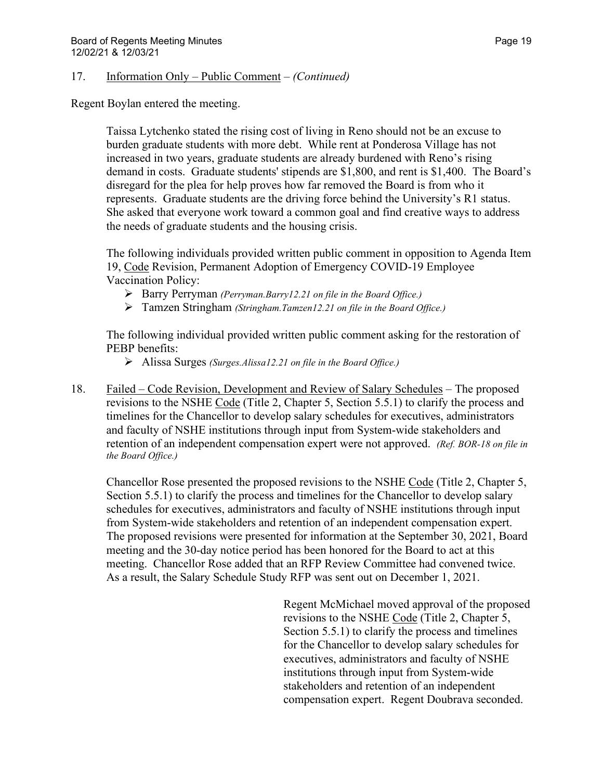#### 17. Information Only – Public Comment – *(Continued)*

Regent Boylan entered the meeting.

Taissa Lytchenko stated the rising cost of living in Reno should not be an excuse to burden graduate students with more debt. While rent at Ponderosa Village has not increased in two years, graduate students are already burdened with Reno's rising demand in costs. Graduate students' stipends are \$1,800, and rent is \$1,400. The Board's disregard for the plea for help proves how far removed the Board is from who it represents. Graduate students are the driving force behind the University's R1 status. She asked that everyone work toward a common goal and find creative ways to address the needs of graduate students and the housing crisis.

The following individuals provided written public comment in opposition to Agenda Item 19, Code Revision, Permanent Adoption of Emergency COVID-19 Employee Vaccination Policy:

- Barry Perryman *(Perryman.Barry12.21 on file in the Board Office.)*
- Tamzen Stringham *(Stringham.Tamzen12.21 on file in the Board Office.)*

The following individual provided written public comment asking for the restoration of PEBP benefits:

- Alissa Surges *(Surges.Alissa12.21 on file in the Board Office.)*
- 18. Failed Code Revision, Development and Review of Salary Schedules The proposed revisions to the NSHE Code (Title 2, Chapter 5, Section 5.5.1) to clarify the process and timelines for the Chancellor to develop salary schedules for executives, administrators and faculty of NSHE institutions through input from System-wide stakeholders and retention of an independent compensation expert were not approved. *(Ref. BOR-18 on file in the Board Office.)*

Chancellor Rose presented the proposed revisions to the NSHE Code (Title 2, Chapter 5, Section 5.5.1) to clarify the process and timelines for the Chancellor to develop salary schedules for executives, administrators and faculty of NSHE institutions through input from System-wide stakeholders and retention of an independent compensation expert. The proposed revisions were presented for information at the September 30, 2021, Board meeting and the 30-day notice period has been honored for the Board to act at this meeting. Chancellor Rose added that an RFP Review Committee had convened twice. As a result, the Salary Schedule Study RFP was sent out on December 1, 2021.

> Regent McMichael moved approval of the proposed revisions to the NSHE Code (Title 2, Chapter 5, Section 5.5.1) to clarify the process and timelines for the Chancellor to develop salary schedules for executives, administrators and faculty of NSHE institutions through input from System-wide stakeholders and retention of an independent compensation expert. Regent Doubrava seconded.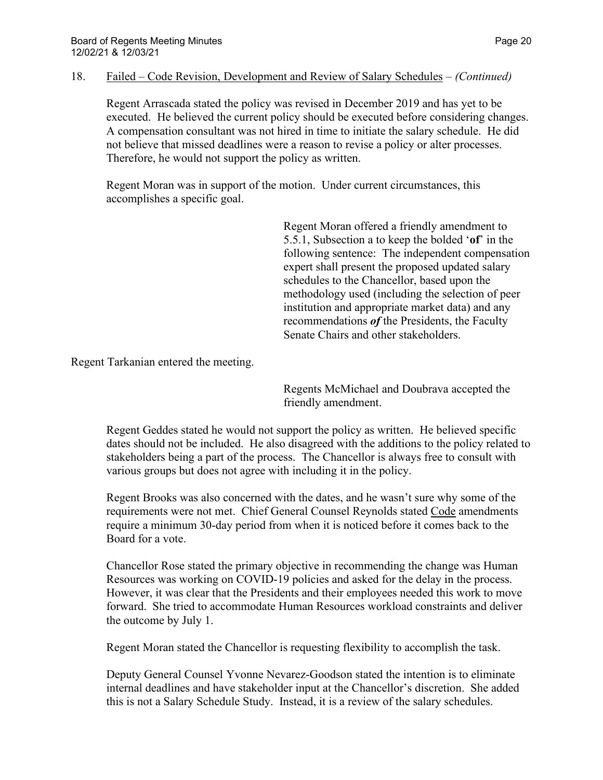#### 18. Failed – Code Revision, Development and Review of Salary Schedules – *(Continued)*

Regent Arrascada stated the policy was revised in December 2019 and has yet to be executed. He believed the current policy should be executed before considering changes. A compensation consultant was not hired in time to initiate the salary schedule. He did not believe that missed deadlines were a reason to revise a policy or alter processes. Therefore, he would not support the policy as written.

Regent Moran was in support of the motion. Under current circumstances, this accomplishes a specific goal.

> Regent Moran offered a friendly amendment to 5.5.1, Subsection a to keep the bolded '**of**' in the following sentence: The independent compensation expert shall present the proposed updated salary schedules to the Chancellor, based upon the methodology used (including the selection of peer institution and appropriate market data) and any recommendations *of* the Presidents, the Faculty Senate Chairs and other stakeholders.

Regent Tarkanian entered the meeting.

Regents McMichael and Doubrava accepted the friendly amendment.

Regent Geddes stated he would not support the policy as written. He believed specific dates should not be included. He also disagreed with the additions to the policy related to stakeholders being a part of the process. The Chancellor is always free to consult with various groups but does not agree with including it in the policy.

Regent Brooks was also concerned with the dates, and he wasn't sure why some of the requirements were not met. Chief General Counsel Reynolds stated Code amendments require a minimum 30-day period from when it is noticed before it comes back to the Board for a vote.

Chancellor Rose stated the primary objective in recommending the change was Human Resources was working on COVID-19 policies and asked for the delay in the process. However, it was clear that the Presidents and their employees needed this work to move forward. She tried to accommodate Human Resources workload constraints and deliver the outcome by July 1.

Regent Moran stated the Chancellor is requesting flexibility to accomplish the task.

Deputy General Counsel Yvonne Nevarez-Goodson stated the intention is to eliminate internal deadlines and have stakeholder input at the Chancellor's discretion. She added this is not a Salary Schedule Study. Instead, it is a review of the salary schedules.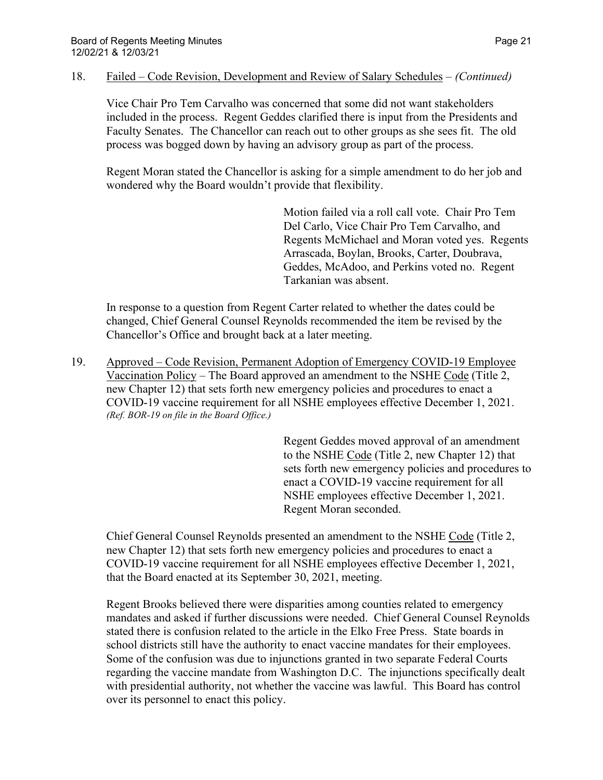#### 18. Failed – Code Revision, Development and Review of Salary Schedules – *(Continued)*

Vice Chair Pro Tem Carvalho was concerned that some did not want stakeholders included in the process. Regent Geddes clarified there is input from the Presidents and Faculty Senates. The Chancellor can reach out to other groups as she sees fit. The old process was bogged down by having an advisory group as part of the process.

Regent Moran stated the Chancellor is asking for a simple amendment to do her job and wondered why the Board wouldn't provide that flexibility.

> Motion failed via a roll call vote. Chair Pro Tem Del Carlo, Vice Chair Pro Tem Carvalho, and Regents McMichael and Moran voted yes. Regents Arrascada, Boylan, Brooks, Carter, Doubrava, Geddes, McAdoo, and Perkins voted no. Regent Tarkanian was absent.

In response to a question from Regent Carter related to whether the dates could be changed, Chief General Counsel Reynolds recommended the item be revised by the Chancellor's Office and brought back at a later meeting.

19. Approved – Code Revision, Permanent Adoption of Emergency COVID-19 Employee Vaccination Policy – The Board approved an amendment to the NSHE Code (Title 2, new Chapter 12) that sets forth new emergency policies and procedures to enact a COVID-19 vaccine requirement for all NSHE employees effective December 1, 2021. *(Ref. BOR-19 on file in the Board Office.)*

> Regent Geddes moved approval of an amendment to the NSHE Code (Title 2, new Chapter 12) that sets forth new emergency policies and procedures to enact a COVID-19 vaccine requirement for all NSHE employees effective December 1, 2021. Regent Moran seconded.

Chief General Counsel Reynolds presented an amendment to the NSHE Code (Title 2, new Chapter 12) that sets forth new emergency policies and procedures to enact a COVID-19 vaccine requirement for all NSHE employees effective December 1, 2021, that the Board enacted at its September 30, 2021, meeting.

Regent Brooks believed there were disparities among counties related to emergency mandates and asked if further discussions were needed. Chief General Counsel Reynolds stated there is confusion related to the article in the Elko Free Press. State boards in school districts still have the authority to enact vaccine mandates for their employees. Some of the confusion was due to injunctions granted in two separate Federal Courts regarding the vaccine mandate from Washington D.C. The injunctions specifically dealt with presidential authority, not whether the vaccine was lawful. This Board has control over its personnel to enact this policy.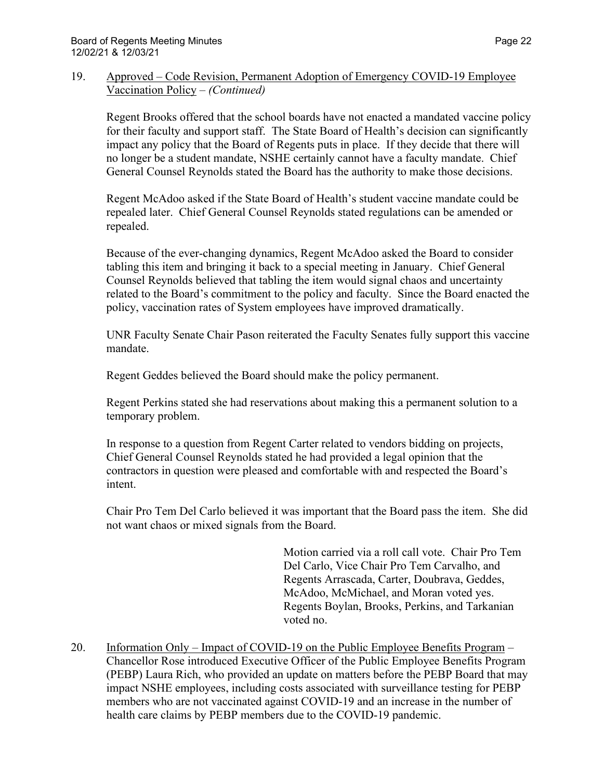### 19. Approved – Code Revision, Permanent Adoption of Emergency COVID-19 Employee Vaccination Policy – *(Continued)*

Regent Brooks offered that the school boards have not enacted a mandated vaccine policy for their faculty and support staff. The State Board of Health's decision can significantly impact any policy that the Board of Regents puts in place. If they decide that there will no longer be a student mandate, NSHE certainly cannot have a faculty mandate. Chief General Counsel Reynolds stated the Board has the authority to make those decisions.

Regent McAdoo asked if the State Board of Health's student vaccine mandate could be repealed later. Chief General Counsel Reynolds stated regulations can be amended or repealed.

Because of the ever-changing dynamics, Regent McAdoo asked the Board to consider tabling this item and bringing it back to a special meeting in January. Chief General Counsel Reynolds believed that tabling the item would signal chaos and uncertainty related to the Board's commitment to the policy and faculty. Since the Board enacted the policy, vaccination rates of System employees have improved dramatically.

UNR Faculty Senate Chair Pason reiterated the Faculty Senates fully support this vaccine mandate.

Regent Geddes believed the Board should make the policy permanent.

Regent Perkins stated she had reservations about making this a permanent solution to a temporary problem.

In response to a question from Regent Carter related to vendors bidding on projects, Chief General Counsel Reynolds stated he had provided a legal opinion that the contractors in question were pleased and comfortable with and respected the Board's intent.

Chair Pro Tem Del Carlo believed it was important that the Board pass the item. She did not want chaos or mixed signals from the Board.

> Motion carried via a roll call vote. Chair Pro Tem Del Carlo, Vice Chair Pro Tem Carvalho, and Regents Arrascada, Carter, Doubrava, Geddes, McAdoo, McMichael, and Moran voted yes. Regents Boylan, Brooks, Perkins, and Tarkanian voted no.

20. Information Only – Impact of COVID-19 on the Public Employee Benefits Program – Chancellor Rose introduced Executive Officer of the Public Employee Benefits Program (PEBP) Laura Rich, who provided an update on matters before the PEBP Board that may impact NSHE employees, including costs associated with surveillance testing for PEBP members who are not vaccinated against COVID-19 and an increase in the number of health care claims by PEBP members due to the COVID-19 pandemic.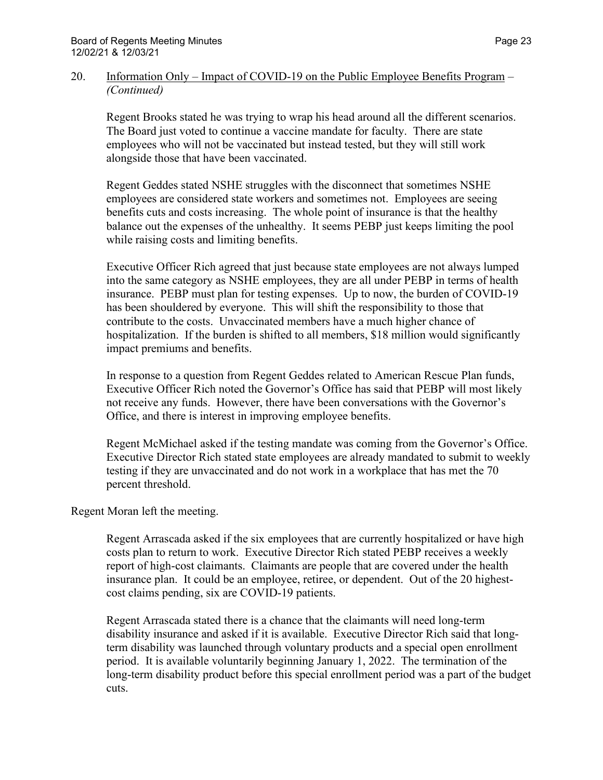#### 20. Information Only – Impact of COVID-19 on the Public Employee Benefits Program – *(Continued)*

Regent Brooks stated he was trying to wrap his head around all the different scenarios. The Board just voted to continue a vaccine mandate for faculty. There are state employees who will not be vaccinated but instead tested, but they will still work alongside those that have been vaccinated.

Regent Geddes stated NSHE struggles with the disconnect that sometimes NSHE employees are considered state workers and sometimes not. Employees are seeing benefits cuts and costs increasing. The whole point of insurance is that the healthy balance out the expenses of the unhealthy. It seems PEBP just keeps limiting the pool while raising costs and limiting benefits.

Executive Officer Rich agreed that just because state employees are not always lumped into the same category as NSHE employees, they are all under PEBP in terms of health insurance. PEBP must plan for testing expenses. Up to now, the burden of COVID-19 has been shouldered by everyone. This will shift the responsibility to those that contribute to the costs. Unvaccinated members have a much higher chance of hospitalization. If the burden is shifted to all members, \$18 million would significantly impact premiums and benefits.

In response to a question from Regent Geddes related to American Rescue Plan funds, Executive Officer Rich noted the Governor's Office has said that PEBP will most likely not receive any funds. However, there have been conversations with the Governor's Office, and there is interest in improving employee benefits.

Regent McMichael asked if the testing mandate was coming from the Governor's Office. Executive Director Rich stated state employees are already mandated to submit to weekly testing if they are unvaccinated and do not work in a workplace that has met the 70 percent threshold.

# Regent Moran left the meeting.

Regent Arrascada asked if the six employees that are currently hospitalized or have high costs plan to return to work. Executive Director Rich stated PEBP receives a weekly report of high-cost claimants. Claimants are people that are covered under the health insurance plan. It could be an employee, retiree, or dependent. Out of the 20 highestcost claims pending, six are COVID-19 patients.

Regent Arrascada stated there is a chance that the claimants will need long-term disability insurance and asked if it is available. Executive Director Rich said that longterm disability was launched through voluntary products and a special open enrollment period. It is available voluntarily beginning January 1, 2022. The termination of the long-term disability product before this special enrollment period was a part of the budget cuts.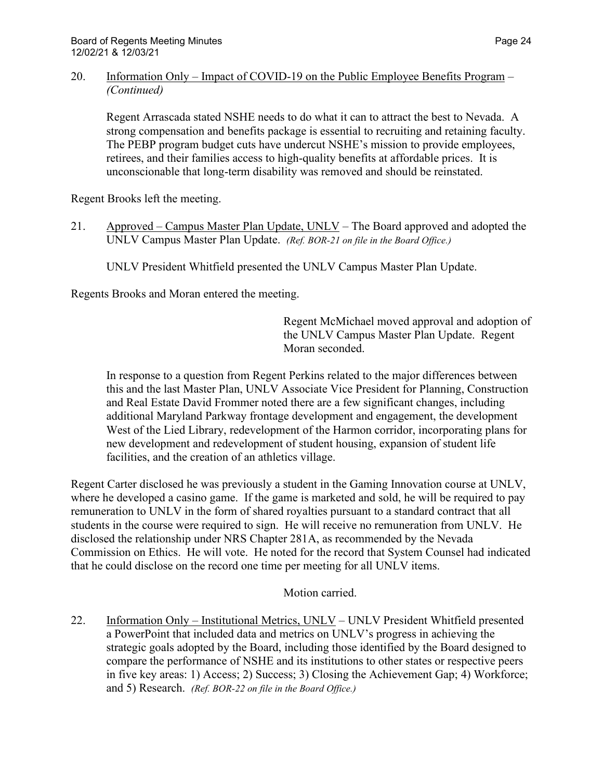### 20. Information Only – Impact of COVID-19 on the Public Employee Benefits Program – *(Continued)*

Regent Arrascada stated NSHE needs to do what it can to attract the best to Nevada. A strong compensation and benefits package is essential to recruiting and retaining faculty. The PEBP program budget cuts have undercut NSHE's mission to provide employees, retirees, and their families access to high-quality benefits at affordable prices. It is unconscionable that long-term disability was removed and should be reinstated.

Regent Brooks left the meeting.

21. Approved – Campus Master Plan Update, UNLV – The Board approved and adopted the UNLV Campus Master Plan Update. *(Ref. BOR-21 on file in the Board Office.)*

UNLV President Whitfield presented the UNLV Campus Master Plan Update.

Regents Brooks and Moran entered the meeting.

Regent McMichael moved approval and adoption of the UNLV Campus Master Plan Update. Regent Moran seconded.

In response to a question from Regent Perkins related to the major differences between this and the last Master Plan, UNLV Associate Vice President for Planning, Construction and Real Estate David Frommer noted there are a few significant changes, including additional Maryland Parkway frontage development and engagement, the development West of the Lied Library, redevelopment of the Harmon corridor, incorporating plans for new development and redevelopment of student housing, expansion of student life facilities, and the creation of an athletics village.

Regent Carter disclosed he was previously a student in the Gaming Innovation course at UNLV, where he developed a casino game. If the game is marketed and sold, he will be required to pay remuneration to UNLV in the form of shared royalties pursuant to a standard contract that all students in the course were required to sign. He will receive no remuneration from UNLV. He disclosed the relationship under NRS Chapter 281A, as recommended by the Nevada Commission on Ethics. He will vote. He noted for the record that System Counsel had indicated that he could disclose on the record one time per meeting for all UNLV items.

# Motion carried.

22. Information Only – Institutional Metrics, UNLV – UNLV President Whitfield presented a PowerPoint that included data and metrics on UNLV's progress in achieving the strategic goals adopted by the Board, including those identified by the Board designed to compare the performance of NSHE and its institutions to other states or respective peers in five key areas: 1) Access; 2) Success; 3) Closing the Achievement Gap; 4) Workforce; and 5) Research. *(Ref. BOR-22 on file in the Board Office.)*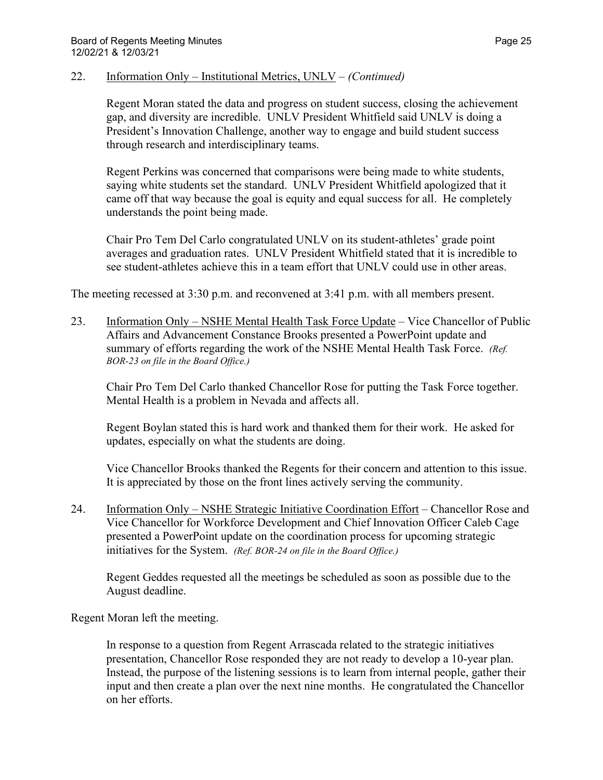#### 22. Information Only – Institutional Metrics, UNLV – *(Continued)*

Regent Moran stated the data and progress on student success, closing the achievement gap, and diversity are incredible. UNLV President Whitfield said UNLV is doing a President's Innovation Challenge, another way to engage and build student success through research and interdisciplinary teams.

Regent Perkins was concerned that comparisons were being made to white students, saying white students set the standard. UNLV President Whitfield apologized that it came off that way because the goal is equity and equal success for all. He completely understands the point being made.

Chair Pro Tem Del Carlo congratulated UNLV on its student-athletes' grade point averages and graduation rates. UNLV President Whitfield stated that it is incredible to see student-athletes achieve this in a team effort that UNLV could use in other areas.

The meeting recessed at 3:30 p.m. and reconvened at 3:41 p.m. with all members present.

23. Information Only – NSHE Mental Health Task Force Update – Vice Chancellor of Public Affairs and Advancement Constance Brooks presented a PowerPoint update and summary of efforts regarding the work of the NSHE Mental Health Task Force. *(Ref. BOR-23 on file in the Board Office.)*

Chair Pro Tem Del Carlo thanked Chancellor Rose for putting the Task Force together. Mental Health is a problem in Nevada and affects all.

Regent Boylan stated this is hard work and thanked them for their work. He asked for updates, especially on what the students are doing.

Vice Chancellor Brooks thanked the Regents for their concern and attention to this issue. It is appreciated by those on the front lines actively serving the community.

24. Information Only – NSHE Strategic Initiative Coordination Effort – Chancellor Rose and Vice Chancellor for Workforce Development and Chief Innovation Officer Caleb Cage presented a PowerPoint update on the coordination process for upcoming strategic initiatives for the System. *(Ref. BOR-24 on file in the Board Office.)*

Regent Geddes requested all the meetings be scheduled as soon as possible due to the August deadline.

Regent Moran left the meeting.

In response to a question from Regent Arrascada related to the strategic initiatives presentation, Chancellor Rose responded they are not ready to develop a 10-year plan. Instead, the purpose of the listening sessions is to learn from internal people, gather their input and then create a plan over the next nine months. He congratulated the Chancellor on her efforts.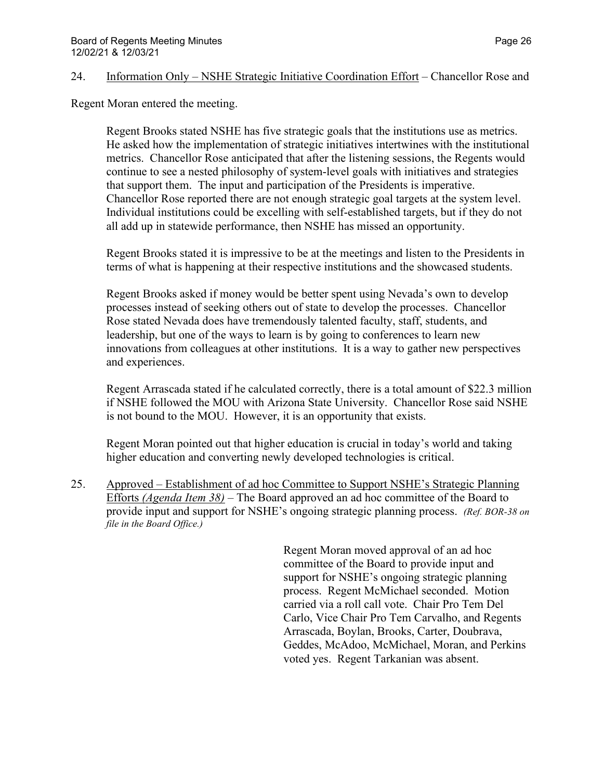#### 24. Information Only – NSHE Strategic Initiative Coordination Effort – Chancellor Rose and

Regent Moran entered the meeting.

Regent Brooks stated NSHE has five strategic goals that the institutions use as metrics. He asked how the implementation of strategic initiatives intertwines with the institutional metrics. Chancellor Rose anticipated that after the listening sessions, the Regents would continue to see a nested philosophy of system-level goals with initiatives and strategies that support them. The input and participation of the Presidents is imperative. Chancellor Rose reported there are not enough strategic goal targets at the system level. Individual institutions could be excelling with self-established targets, but if they do not all add up in statewide performance, then NSHE has missed an opportunity.

Regent Brooks stated it is impressive to be at the meetings and listen to the Presidents in terms of what is happening at their respective institutions and the showcased students.

Regent Brooks asked if money would be better spent using Nevada's own to develop processes instead of seeking others out of state to develop the processes. Chancellor Rose stated Nevada does have tremendously talented faculty, staff, students, and leadership, but one of the ways to learn is by going to conferences to learn new innovations from colleagues at other institutions. It is a way to gather new perspectives and experiences.

Regent Arrascada stated if he calculated correctly, there is a total amount of \$22.3 million if NSHE followed the MOU with Arizona State University. Chancellor Rose said NSHE is not bound to the MOU. However, it is an opportunity that exists.

Regent Moran pointed out that higher education is crucial in today's world and taking higher education and converting newly developed technologies is critical.

25. Approved – Establishment of ad hoc Committee to Support NSHE's Strategic Planning Efforts *(Agenda Item 38)* – The Board approved an ad hoc committee of the Board to provide input and support for NSHE's ongoing strategic planning process. *(Ref. BOR-38 on file in the Board Office.)*

> Regent Moran moved approval of an ad hoc committee of the Board to provide input and support for NSHE's ongoing strategic planning process. Regent McMichael seconded. Motion carried via a roll call vote. Chair Pro Tem Del Carlo, Vice Chair Pro Tem Carvalho, and Regents Arrascada, Boylan, Brooks, Carter, Doubrava, Geddes, McAdoo, McMichael, Moran, and Perkins voted yes. Regent Tarkanian was absent.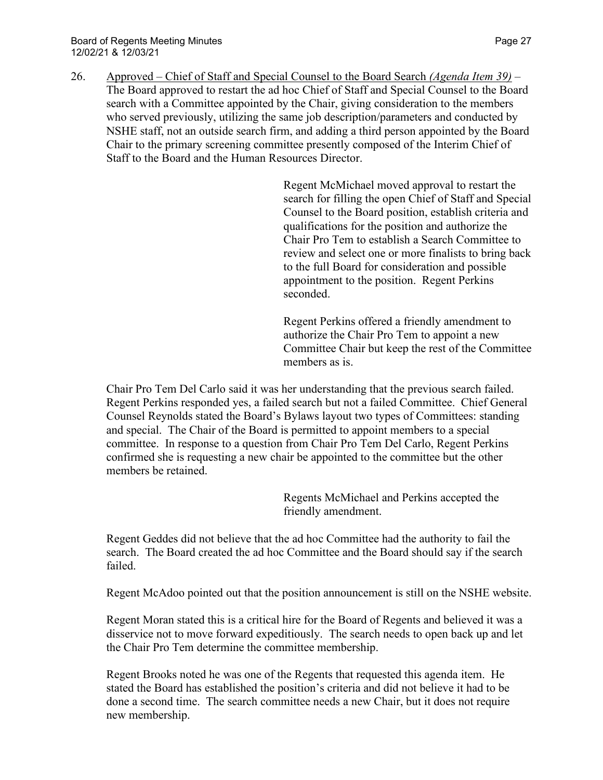26. Approved – Chief of Staff and Special Counsel to the Board Search *(Agenda Item 39)* – The Board approved to restart the ad hoc Chief of Staff and Special Counsel to the Board search with a Committee appointed by the Chair, giving consideration to the members who served previously, utilizing the same job description/parameters and conducted by NSHE staff, not an outside search firm, and adding a third person appointed by the Board Chair to the primary screening committee presently composed of the Interim Chief of Staff to the Board and the Human Resources Director.

> Regent McMichael moved approval to restart the search for filling the open Chief of Staff and Special Counsel to the Board position, establish criteria and qualifications for the position and authorize the Chair Pro Tem to establish a Search Committee to review and select one or more finalists to bring back to the full Board for consideration and possible appointment to the position. Regent Perkins seconded.

> Regent Perkins offered a friendly amendment to authorize the Chair Pro Tem to appoint a new Committee Chair but keep the rest of the Committee members as is.

Chair Pro Tem Del Carlo said it was her understanding that the previous search failed. Regent Perkins responded yes, a failed search but not a failed Committee. Chief General Counsel Reynolds stated the Board's Bylaws layout two types of Committees: standing and special. The Chair of the Board is permitted to appoint members to a special committee. In response to a question from Chair Pro Tem Del Carlo, Regent Perkins confirmed she is requesting a new chair be appointed to the committee but the other members be retained.

> Regents McMichael and Perkins accepted the friendly amendment.

Regent Geddes did not believe that the ad hoc Committee had the authority to fail the search. The Board created the ad hoc Committee and the Board should say if the search failed.

Regent McAdoo pointed out that the position announcement is still on the NSHE website.

Regent Moran stated this is a critical hire for the Board of Regents and believed it was a disservice not to move forward expeditiously. The search needs to open back up and let the Chair Pro Tem determine the committee membership.

Regent Brooks noted he was one of the Regents that requested this agenda item. He stated the Board has established the position's criteria and did not believe it had to be done a second time. The search committee needs a new Chair, but it does not require new membership.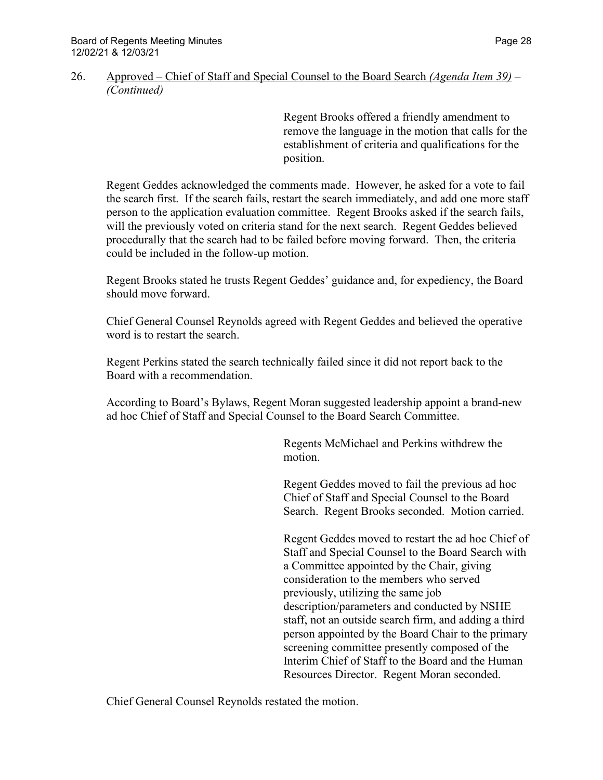#### 26. Approved – Chief of Staff and Special Counsel to the Board Search *(Agenda Item 39)* – *(Continued)*

Regent Brooks offered a friendly amendment to remove the language in the motion that calls for the establishment of criteria and qualifications for the position.

Regent Geddes acknowledged the comments made. However, he asked for a vote to fail the search first. If the search fails, restart the search immediately, and add one more staff person to the application evaluation committee. Regent Brooks asked if the search fails, will the previously voted on criteria stand for the next search. Regent Geddes believed procedurally that the search had to be failed before moving forward. Then, the criteria could be included in the follow-up motion.

Regent Brooks stated he trusts Regent Geddes' guidance and, for expediency, the Board should move forward.

Chief General Counsel Reynolds agreed with Regent Geddes and believed the operative word is to restart the search.

Regent Perkins stated the search technically failed since it did not report back to the Board with a recommendation.

According to Board's Bylaws, Regent Moran suggested leadership appoint a brand-new ad hoc Chief of Staff and Special Counsel to the Board Search Committee.

> Regents McMichael and Perkins withdrew the motion.

Regent Geddes moved to fail the previous ad hoc Chief of Staff and Special Counsel to the Board Search. Regent Brooks seconded. Motion carried.

Regent Geddes moved to restart the ad hoc Chief of Staff and Special Counsel to the Board Search with a Committee appointed by the Chair, giving consideration to the members who served previously, utilizing the same job description/parameters and conducted by NSHE staff, not an outside search firm, and adding a third person appointed by the Board Chair to the primary screening committee presently composed of the Interim Chief of Staff to the Board and the Human Resources Director. Regent Moran seconded.

Chief General Counsel Reynolds restated the motion.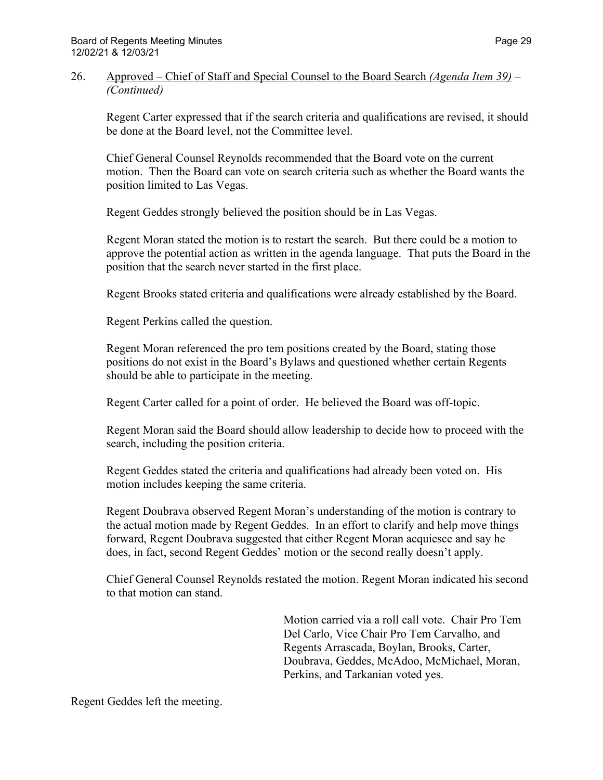### 26. Approved – Chief of Staff and Special Counsel to the Board Search *(Agenda Item 39)* – *(Continued)*

Regent Carter expressed that if the search criteria and qualifications are revised, it should be done at the Board level, not the Committee level.

Chief General Counsel Reynolds recommended that the Board vote on the current motion. Then the Board can vote on search criteria such as whether the Board wants the position limited to Las Vegas.

Regent Geddes strongly believed the position should be in Las Vegas.

Regent Moran stated the motion is to restart the search. But there could be a motion to approve the potential action as written in the agenda language. That puts the Board in the position that the search never started in the first place.

Regent Brooks stated criteria and qualifications were already established by the Board.

Regent Perkins called the question.

Regent Moran referenced the pro tem positions created by the Board, stating those positions do not exist in the Board's Bylaws and questioned whether certain Regents should be able to participate in the meeting.

Regent Carter called for a point of order. He believed the Board was off-topic.

Regent Moran said the Board should allow leadership to decide how to proceed with the search, including the position criteria.

Regent Geddes stated the criteria and qualifications had already been voted on. His motion includes keeping the same criteria.

Regent Doubrava observed Regent Moran's understanding of the motion is contrary to the actual motion made by Regent Geddes. In an effort to clarify and help move things forward, Regent Doubrava suggested that either Regent Moran acquiesce and say he does, in fact, second Regent Geddes' motion or the second really doesn't apply.

Chief General Counsel Reynolds restated the motion. Regent Moran indicated his second to that motion can stand.

> Motion carried via a roll call vote. Chair Pro Tem Del Carlo, Vice Chair Pro Tem Carvalho, and Regents Arrascada, Boylan, Brooks, Carter, Doubrava, Geddes, McAdoo, McMichael, Moran, Perkins, and Tarkanian voted yes.

Regent Geddes left the meeting.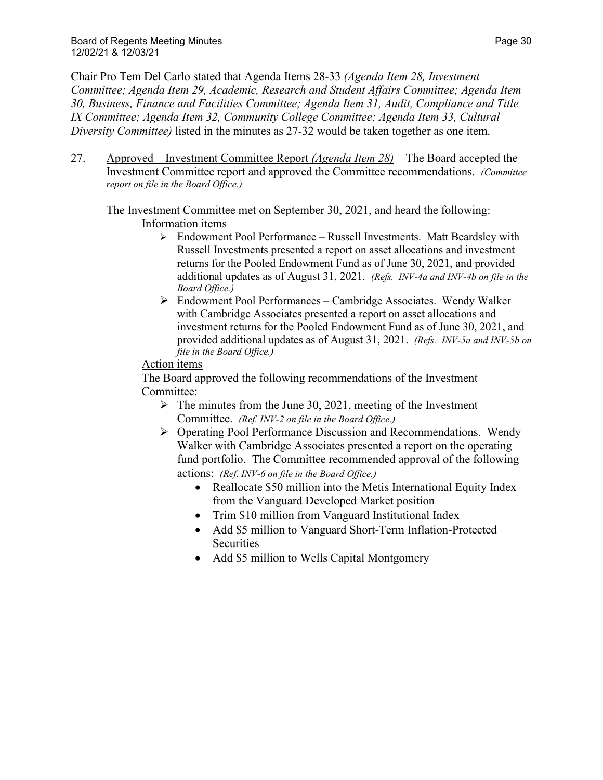Chair Pro Tem Del Carlo stated that Agenda Items 28-33 *(Agenda Item 28, Investment Committee; Agenda Item 29, Academic, Research and Student Affairs Committee; Agenda Item 30, Business, Finance and Facilities Committee; Agenda Item 31, Audit, Compliance and Title IX Committee; Agenda Item 32, Community College Committee; Agenda Item 33, Cultural Diversity Committee)* listed in the minutes as 27-32 would be taken together as one item.

27. Approved – Investment Committee Report *(Agenda Item 28)* – The Board accepted the Investment Committee report and approved the Committee recommendations. *(Committee report on file in the Board Office.)*

The Investment Committee met on September 30, 2021, and heard the following: Information items

- $\triangleright$  Endowment Pool Performance Russell Investments. Matt Beardsley with Russell Investments presented a report on asset allocations and investment returns for the Pooled Endowment Fund as of June 30, 2021, and provided additional updates as of August 31, 2021. *(Refs. INV-4a and INV-4b on file in the Board Office.)*
- Endowment Pool Performances Cambridge Associates. Wendy Walker with Cambridge Associates presented a report on asset allocations and investment returns for the Pooled Endowment Fund as of June 30, 2021, and provided additional updates as of August 31, 2021. *(Refs. INV-5a and INV-5b on file in the Board Office.)*

# Action items

The Board approved the following recommendations of the Investment Committee:

- $\triangleright$  The minutes from the June 30, 2021, meeting of the Investment Committee. *(Ref. INV-2 on file in the Board Office.)*
- Operating Pool Performance Discussion and Recommendations. Wendy Walker with Cambridge Associates presented a report on the operating fund portfolio. The Committee recommended approval of the following actions: *(Ref. INV-6 on file in the Board Office.)*
	- Reallocate \$50 million into the Metis International Equity Index from the Vanguard Developed Market position
	- Trim \$10 million from Vanguard Institutional Index
	- Add \$5 million to Vanguard Short-Term Inflation-Protected **Securities**
	- Add \$5 million to Wells Capital Montgomery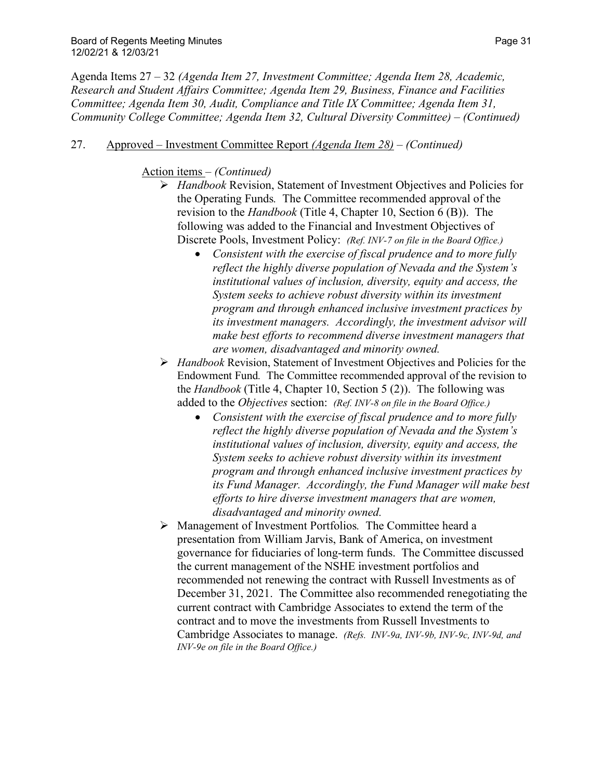### 27. Approved – Investment Committee Report *(Agenda Item 28)* – *(Continued)*

### Action items – *(Continued)*

- *Handbook* Revision, Statement of Investment Objectives and Policies for the Operating Funds*.* The Committee recommended approval of the revision to the *Handbook* (Title 4, Chapter 10, Section 6 (B)). The following was added to the Financial and Investment Objectives of Discrete Pools, Investment Policy: *(Ref. INV-7 on file in the Board Office.)*
	- *Consistent with the exercise of fiscal prudence and to more fully reflect the highly diverse population of Nevada and the System's institutional values of inclusion, diversity, equity and access, the System seeks to achieve robust diversity within its investment program and through enhanced inclusive investment practices by its investment managers. Accordingly, the investment advisor will make best efforts to recommend diverse investment managers that are women, disadvantaged and minority owned.*
- *Handbook* Revision, Statement of Investment Objectives and Policies for the Endowment Fund*.* The Committee recommended approval of the revision to the *Handbook* (Title 4, Chapter 10, Section 5 (2)). The following was added to the *Objectives* section: *(Ref. INV-8 on file in the Board Office.)*
	- *Consistent with the exercise of fiscal prudence and to more fully reflect the highly diverse population of Nevada and the System's institutional values of inclusion, diversity, equity and access, the System seeks to achieve robust diversity within its investment program and through enhanced inclusive investment practices by its Fund Manager. Accordingly, the Fund Manager will make best efforts to hire diverse investment managers that are women, disadvantaged and minority owned.*
- Management of Investment Portfolios*.* The Committee heard a presentation from William Jarvis, Bank of America, on investment governance for fiduciaries of long-term funds. The Committee discussed the current management of the NSHE investment portfolios and recommended not renewing the contract with Russell Investments as of December 31, 2021. The Committee also recommended renegotiating the current contract with Cambridge Associates to extend the term of the contract and to move the investments from Russell Investments to Cambridge Associates to manage. *(Refs. INV-9a, INV-9b, INV-9c, INV-9d, and INV-9e on file in the Board Office.)*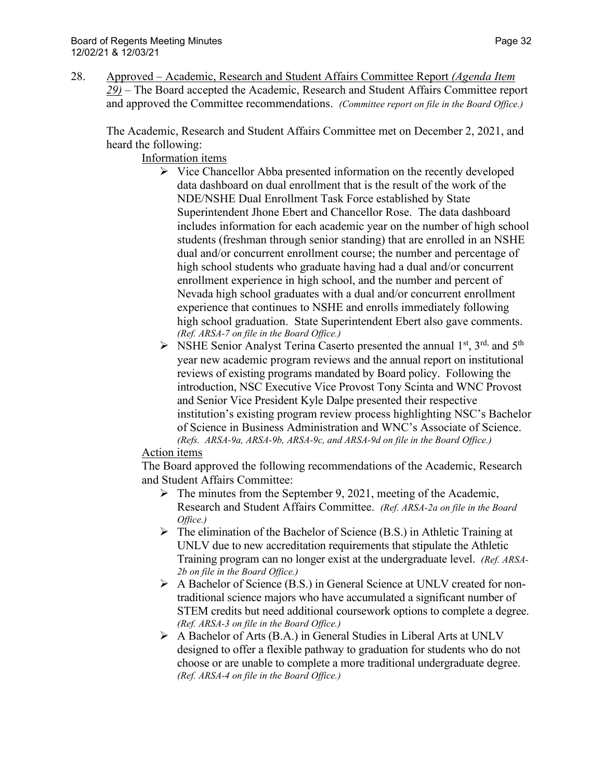28. Approved – Academic, Research and Student Affairs Committee Report *(Agenda Item 29)* – The Board accepted the Academic, Research and Student Affairs Committee report and approved the Committee recommendations. *(Committee report on file in the Board Office.)*

The Academic, Research and Student Affairs Committee met on December 2, 2021, and heard the following:

Information items

- $\triangleright$  Vice Chancellor Abba presented information on the recently developed data dashboard on dual enrollment that is the result of the work of the NDE/NSHE Dual Enrollment Task Force established by State Superintendent Jhone Ebert and Chancellor Rose. The data dashboard includes information for each academic year on the number of high school students (freshman through senior standing) that are enrolled in an NSHE dual and/or concurrent enrollment course; the number and percentage of high school students who graduate having had a dual and/or concurrent enrollment experience in high school, and the number and percent of Nevada high school graduates with a dual and/or concurrent enrollment experience that continues to NSHE and enrolls immediately following high school graduation. State Superintendent Ebert also gave comments. *(Ref. ARSA-7 on file in the Board Office.)*
- $\triangleright$  NSHE Senior Analyst Terina Caserto presented the annual 1<sup>st</sup>, 3<sup>rd,</sup> and 5<sup>th</sup> year new academic program reviews and the annual report on institutional reviews of existing programs mandated by Board policy. Following the introduction, NSC Executive Vice Provost Tony Scinta and WNC Provost and Senior Vice President Kyle Dalpe presented their respective institution's existing program review process highlighting NSC's Bachelor of Science in Business Administration and WNC's Associate of Science. *(Refs. ARSA-9a, ARSA-9b, ARSA-9c, and ARSA-9d on file in the Board Office.)*

### Action items

The Board approved the following recommendations of the Academic, Research and Student Affairs Committee:

- $\triangleright$  The minutes from the September 9, 2021, meeting of the Academic, Research and Student Affairs Committee. *(Ref. ARSA-2a on file in the Board Office.)*
- $\triangleright$  The elimination of the Bachelor of Science (B.S.) in Athletic Training at UNLV due to new accreditation requirements that stipulate the Athletic Training program can no longer exist at the undergraduate level. *(Ref. ARSA-2b on file in the Board Office.)*
- A Bachelor of Science (B.S.) in General Science at UNLV created for nontraditional science majors who have accumulated a significant number of STEM credits but need additional coursework options to complete a degree. *(Ref. ARSA-3 on file in the Board Office.)*
- A Bachelor of Arts (B.A.) in General Studies in Liberal Arts at UNLV designed to offer a flexible pathway to graduation for students who do not choose or are unable to complete a more traditional undergraduate degree. *(Ref. ARSA-4 on file in the Board Office.)*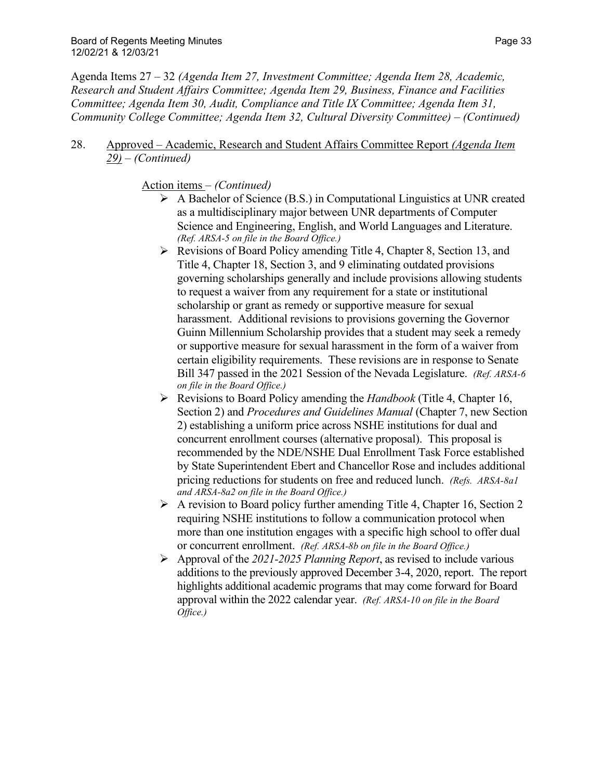28. Approved – Academic, Research and Student Affairs Committee Report *(Agenda Item 29)* – *(Continued)*

### Action items – *(Continued)*

- A Bachelor of Science (B.S.) in Computational Linguistics at UNR created as a multidisciplinary major between UNR departments of Computer Science and Engineering, English, and World Languages and Literature. *(Ref. ARSA-5 on file in the Board Office.)*
- $\triangleright$  Revisions of Board Policy amending Title 4, Chapter 8, Section 13, and Title 4, Chapter 18, Section 3, and 9 eliminating outdated provisions governing scholarships generally and include provisions allowing students to request a waiver from any requirement for a state or institutional scholarship or grant as remedy or supportive measure for sexual harassment. Additional revisions to provisions governing the Governor Guinn Millennium Scholarship provides that a student may seek a remedy or supportive measure for sexual harassment in the form of a waiver from certain eligibility requirements. These revisions are in response to Senate Bill 347 passed in the 2021 Session of the Nevada Legislature. *(Ref. ARSA-6 on file in the Board Office.)*
- Revisions to Board Policy amending the *Handbook* (Title 4, Chapter 16, Section 2) and *Procedures and Guidelines Manual* (Chapter 7, new Section 2) establishing a uniform price across NSHE institutions for dual and concurrent enrollment courses (alternative proposal). This proposal is recommended by the NDE/NSHE Dual Enrollment Task Force established by State Superintendent Ebert and Chancellor Rose and includes additional pricing reductions for students on free and reduced lunch. *(Refs. ARSA-8a1 and ARSA-8a2 on file in the Board Office.)*
- $\triangleright$  A revision to Board policy further amending Title 4, Chapter 16, Section 2 requiring NSHE institutions to follow a communication protocol when more than one institution engages with a specific high school to offer dual or concurrent enrollment. *(Ref. ARSA-8b on file in the Board Office.)*
- Approval of the *2021-2025 Planning Report*, as revised to include various additions to the previously approved December 3-4, 2020, report. The report highlights additional academic programs that may come forward for Board approval within the 2022 calendar year. *(Ref. ARSA-10 on file in the Board Office.)*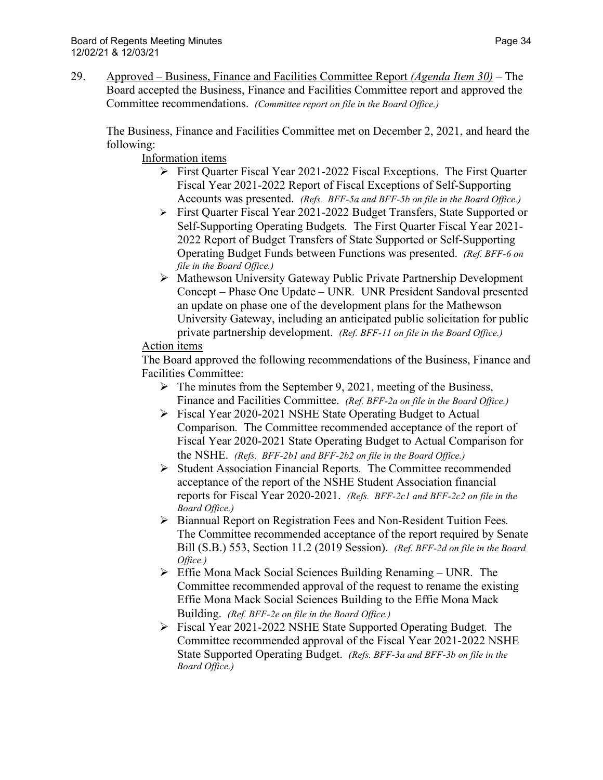The Business, Finance and Facilities Committee met on December 2, 2021, and heard the following:

Information items

- First Quarter Fiscal Year 2021-2022 Fiscal Exceptions. The First Quarter Fiscal Year 2021-2022 Report of Fiscal Exceptions of Self-Supporting Accounts was presented. *(Refs. BFF-5a and BFF-5b on file in the Board Office.)*
- First Quarter Fiscal Year 2021-2022 Budget Transfers, State Supported or Self-Supporting Operating Budgets*.* The First Quarter Fiscal Year 2021- 2022 Report of Budget Transfers of State Supported or Self-Supporting Operating Budget Funds between Functions was presented. *(Ref. BFF-6 on file in the Board Office.)*
- Mathewson University Gateway Public Private Partnership Development Concept – Phase One Update – UNR*.* UNR President Sandoval presented an update on phase one of the development plans for the Mathewson University Gateway, including an anticipated public solicitation for public private partnership development. *(Ref. BFF-11 on file in the Board Office.)*

# Action items

The Board approved the following recommendations of the Business, Finance and Facilities Committee:

- $\triangleright$  The minutes from the September 9, 2021, meeting of the Business, Finance and Facilities Committee. *(Ref. BFF-2a on file in the Board Office.)*
- Fiscal Year 2020-2021 NSHE State Operating Budget to Actual Comparison*.* The Committee recommended acceptance of the report of Fiscal Year 2020-2021 State Operating Budget to Actual Comparison for the NSHE. *(Refs. BFF-2b1 and BFF-2b2 on file in the Board Office.)*
- Student Association Financial Reports*.* The Committee recommended acceptance of the report of the NSHE Student Association financial reports for Fiscal Year 2020-2021. *(Refs. BFF-2c1 and BFF-2c2 on file in the Board Office.)*
- Biannual Report on Registration Fees and Non-Resident Tuition Fees*.*  The Committee recommended acceptance of the report required by Senate Bill (S.B.) 553, Section 11.2 (2019 Session). *(Ref. BFF-2d on file in the Board Office.)*
- Effie Mona Mack Social Sciences Building Renaming UNR*.* The Committee recommended approval of the request to rename the existing Effie Mona Mack Social Sciences Building to the Effie Mona Mack Building. *(Ref. BFF-2e on file in the Board Office.)*
- Fiscal Year 2021-2022 NSHE State Supported Operating Budget*.* The Committee recommended approval of the Fiscal Year 2021-2022 NSHE State Supported Operating Budget. *(Refs. BFF-3a and BFF-3b on file in the Board Office.)*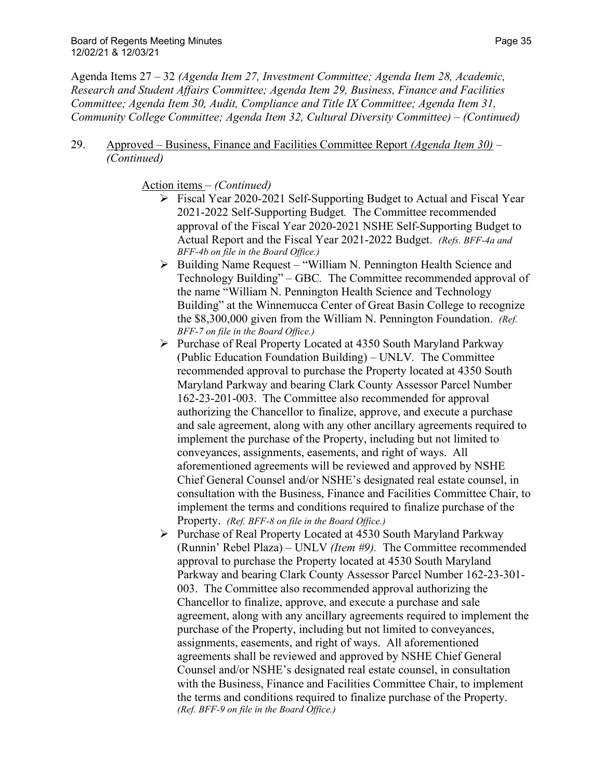### 29. Approved – Business, Finance and Facilities Committee Report *(Agenda Item 30)* – *(Continued)*

### Action items – *(Continued)*

- Fiscal Year 2020-2021 Self-Supporting Budget to Actual and Fiscal Year 2021-2022 Self-Supporting Budget*.* The Committee recommended approval of the Fiscal Year 2020-2021 NSHE Self-Supporting Budget to Actual Report and the Fiscal Year 2021-2022 Budget. *(Refs. BFF-4a and BFF-4b on file in the Board Office.)*
- $\triangleright$  Building Name Request "William N. Pennington Health Science and Technology Building" – GBC*.* The Committee recommended approval of the name "William N. Pennington Health Science and Technology Building" at the Winnemucca Center of Great Basin College to recognize the \$8,300,000 given from the William N. Pennington Foundation. *(Ref. BFF-7 on file in the Board Office.)*
- $\triangleright$  Purchase of Real Property Located at 4350 South Maryland Parkway (Public Education Foundation Building) – UNLV*.* The Committee recommended approval to purchase the Property located at 4350 South Maryland Parkway and bearing Clark County Assessor Parcel Number 162-23-201-003. The Committee also recommended for approval authorizing the Chancellor to finalize, approve, and execute a purchase and sale agreement, along with any other ancillary agreements required to implement the purchase of the Property, including but not limited to conveyances, assignments, easements, and right of ways. All aforementioned agreements will be reviewed and approved by NSHE Chief General Counsel and/or NSHE's designated real estate counsel, in consultation with the Business, Finance and Facilities Committee Chair, to implement the terms and conditions required to finalize purchase of the Property. *(Ref. BFF-8 on file in the Board Office.)*
- Purchase of Real Property Located at 4530 South Maryland Parkway (Runnin' Rebel Plaza) – UNLV *(Item #9).* The Committee recommended approval to purchase the Property located at 4530 South Maryland Parkway and bearing Clark County Assessor Parcel Number 162-23-301- 003. The Committee also recommended approval authorizing the Chancellor to finalize, approve, and execute a purchase and sale agreement, along with any ancillary agreements required to implement the purchase of the Property, including but not limited to conveyances, assignments, easements, and right of ways. All aforementioned agreements shall be reviewed and approved by NSHE Chief General Counsel and/or NSHE's designated real estate counsel, in consultation with the Business, Finance and Facilities Committee Chair, to implement the terms and conditions required to finalize purchase of the Property. *(Ref. BFF-9 on file in the Board Office.)*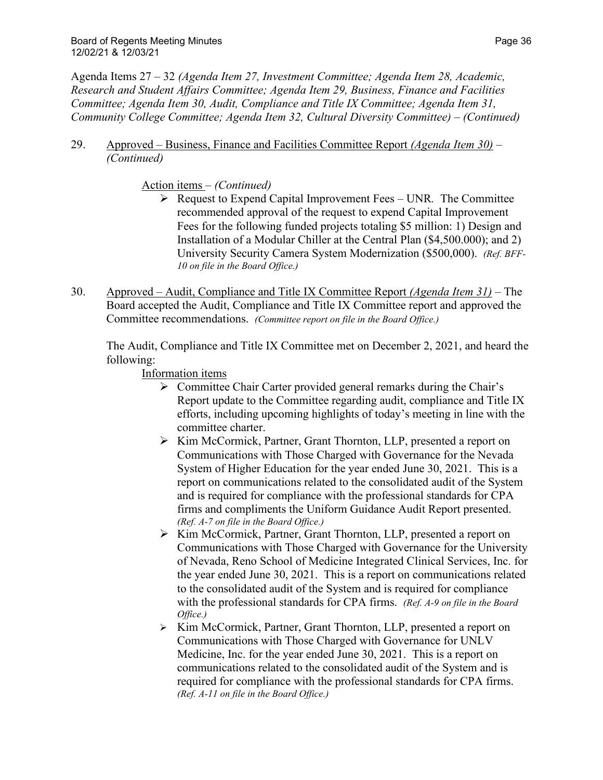29. Approved – Business, Finance and Facilities Committee Report *(Agenda Item 30)* – *(Continued)*

### Action items – *(Continued)*

- Request to Expend Capital Improvement Fees UNR*.* The Committee recommended approval of the request to expend Capital Improvement Fees for the following funded projects totaling \$5 million: 1) Design and Installation of a Modular Chiller at the Central Plan (\$4,500.000); and 2) University Security Camera System Modernization (\$500,000). *(Ref. BFF-10 on file in the Board Office.)*
- 30. Approved Audit, Compliance and Title IX Committee Report *(Agenda Item 31)* The Board accepted the Audit, Compliance and Title IX Committee report and approved the Committee recommendations. *(Committee report on file in the Board Office.)*

The Audit, Compliance and Title IX Committee met on December 2, 2021, and heard the following:

Information items

- $\triangleright$  Committee Chair Carter provided general remarks during the Chair's Report update to the Committee regarding audit, compliance and Title IX efforts, including upcoming highlights of today's meeting in line with the committee charter.
- ▶ Kim McCormick, Partner, Grant Thornton, LLP, presented a report on Communications with Those Charged with Governance for the Nevada System of Higher Education for the year ended June 30, 2021. This is a report on communications related to the consolidated audit of the System and is required for compliance with the professional standards for CPA firms and compliments the Uniform Guidance Audit Report presented. *(Ref. A-7 on file in the Board Office.)*
- ▶ Kim McCormick, Partner, Grant Thornton, LLP, presented a report on Communications with Those Charged with Governance for the University of Nevada, Reno School of Medicine Integrated Clinical Services, Inc. for the year ended June 30, 2021. This is a report on communications related to the consolidated audit of the System and is required for compliance with the professional standards for CPA firms. *(Ref. A-9 on file in the Board Office.)*
- ▶ Kim McCormick, Partner, Grant Thornton, LLP, presented a report on Communications with Those Charged with Governance for UNLV Medicine, Inc. for the year ended June 30, 2021. This is a report on communications related to the consolidated audit of the System and is required for compliance with the professional standards for CPA firms. *(Ref. A-11 on file in the Board Office.)*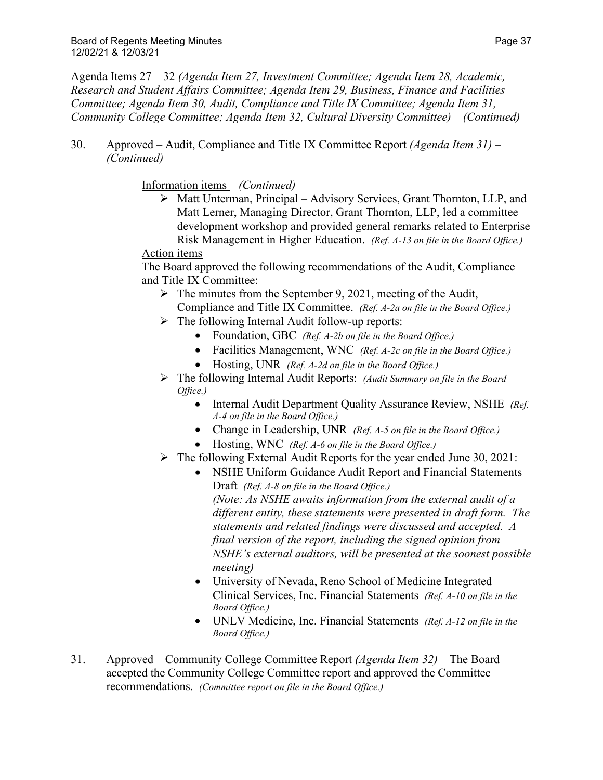### 30. Approved – Audit, Compliance and Title IX Committee Report *(Agenda Item 31)* – *(Continued)*

Information items – *(Continued)*

 Matt Unterman, Principal – Advisory Services, Grant Thornton, LLP, and Matt Lerner, Managing Director, Grant Thornton, LLP, led a committee development workshop and provided general remarks related to Enterprise Risk Management in Higher Education. *(Ref. A-13 on file in the Board Office.)*

### Action items

The Board approved the following recommendations of the Audit, Compliance and Title IX Committee:

- $\triangleright$  The minutes from the September 9, 2021, meeting of the Audit,
- Compliance and Title IX Committee. *(Ref. A-2a on file in the Board Office.)*  $\triangleright$  The following Internal Audit follow-up reports:
	- Foundation, GBC *(Ref. A-2b on file in the Board Office.)*
	- Facilities Management, WNC *(Ref. A-2c on file in the Board Office.)*
	- Hosting, UNR *(Ref. A-2d on file in the Board Office.)*
- The following Internal Audit Reports: *(Audit Summary on file in the Board Office.)*
	- Internal Audit Department Quality Assurance Review, NSHE *(Ref. A-4 on file in the Board Office.)*
	- Change in Leadership, UNR *(Ref. A-5 on file in the Board Office.)*
	- Hosting, WNC *(Ref. A-6 on file in the Board Office.)*
- $\triangleright$  The following External Audit Reports for the year ended June 30, 2021:
	- NSHE Uniform Guidance Audit Report and Financial Statements Draft *(Ref. A-8 on file in the Board Office.) (Note: As NSHE awaits information from the external audit of a different entity, these statements were presented in draft form. The statements and related findings were discussed and accepted. A final version of the report, including the signed opinion from NSHE's external auditors, will be presented at the soonest possible meeting)*
	- University of Nevada, Reno School of Medicine Integrated Clinical Services, Inc. Financial Statements *(Ref. A-10 on file in the Board Office.)*
	- UNLV Medicine, Inc. Financial Statements *(Ref. A-12 on file in the Board Office.)*
- 31. Approved Community College Committee Report *(Agenda Item 32)* The Board accepted the Community College Committee report and approved the Committee recommendations. *(Committee report on file in the Board Office.)*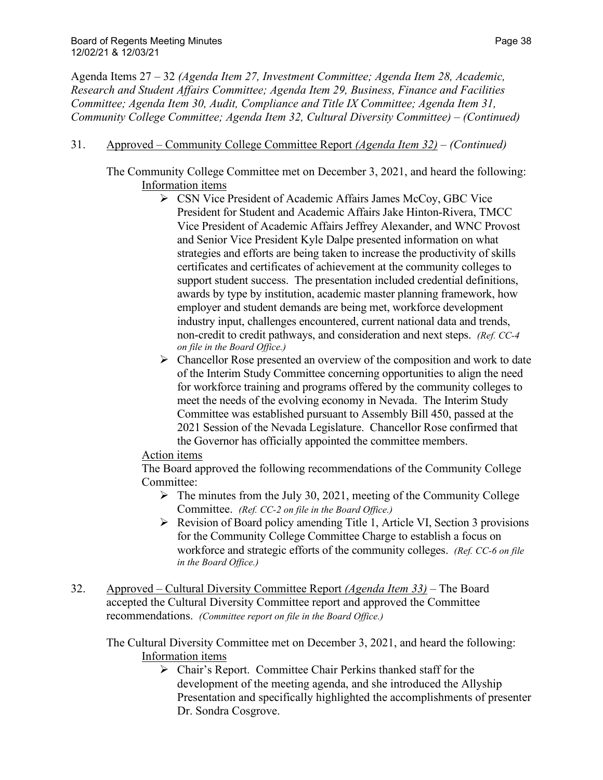- 31. Approved Community College Committee Report *(Agenda Item 32) (Continued)*
	- The Community College Committee met on December 3, 2021, and heard the following: Information items
		- CSN Vice President of Academic Affairs James McCoy, GBC Vice President for Student and Academic Affairs Jake Hinton-Rivera, TMCC Vice President of Academic Affairs Jeffrey Alexander, and WNC Provost and Senior Vice President Kyle Dalpe presented information on what strategies and efforts are being taken to increase the productivity of skills certificates and certificates of achievement at the community colleges to support student success. The presentation included credential definitions, awards by type by institution, academic master planning framework, how employer and student demands are being met, workforce development industry input, challenges encountered, current national data and trends, non-credit to credit pathways, and consideration and next steps. *(Ref. CC-4 on file in the Board Office.)*
		- $\triangleright$  Chancellor Rose presented an overview of the composition and work to date of the Interim Study Committee concerning opportunities to align the need for workforce training and programs offered by the community colleges to meet the needs of the evolving economy in Nevada. The Interim Study Committee was established pursuant to Assembly Bill 450, passed at the 2021 Session of the Nevada Legislature. Chancellor Rose confirmed that the Governor has officially appointed the committee members.

# Action items

The Board approved the following recommendations of the Community College Committee:

- $\triangleright$  The minutes from the July 30, 2021, meeting of the Community College Committee. *(Ref. CC-2 on file in the Board Office.)*
- $\triangleright$  Revision of Board policy amending Title 1, Article VI, Section 3 provisions for the Community College Committee Charge to establish a focus on workforce and strategic efforts of the community colleges. *(Ref. CC-6 on file in the Board Office.)*
- 32. Approved Cultural Diversity Committee Report *(Agenda Item 33)* The Board accepted the Cultural Diversity Committee report and approved the Committee recommendations. *(Committee report on file in the Board Office.)*

The Cultural Diversity Committee met on December 3, 2021, and heard the following: Information items

> $\triangleright$  Chair's Report. Committee Chair Perkins thanked staff for the development of the meeting agenda, and she introduced the Allyship Presentation and specifically highlighted the accomplishments of presenter Dr. Sondra Cosgrove.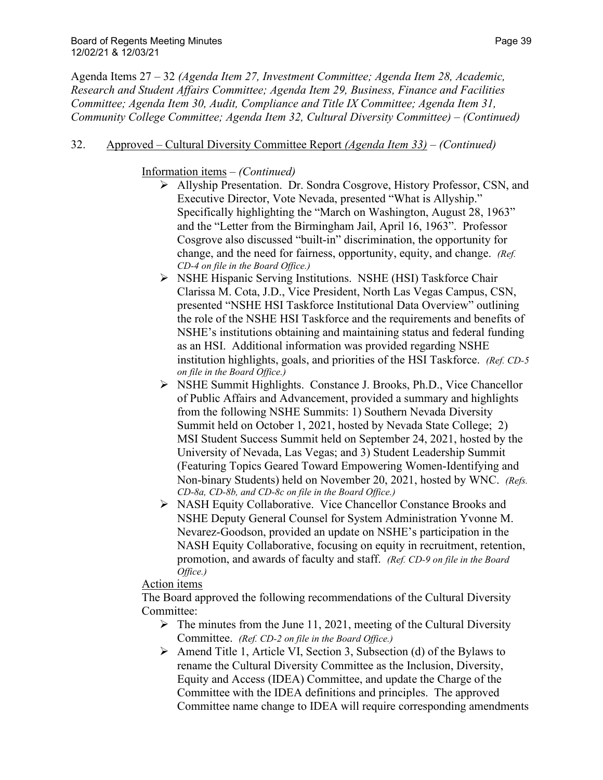### 32. Approved – Cultural Diversity Committee Report *(Agenda Item 33)* – *(Continued)*

### Information items – *(Continued)*

- Allyship Presentation. Dr. Sondra Cosgrove, History Professor, CSN, and Executive Director, Vote Nevada, presented "What is Allyship." Specifically highlighting the "March on Washington, August 28, 1963" and the "Letter from the Birmingham Jail, April 16, 1963". Professor Cosgrove also discussed "built-in" discrimination, the opportunity for change, and the need for fairness, opportunity, equity, and change. *(Ref. CD-4 on file in the Board Office.)*
- NSHE Hispanic Serving Institutions. NSHE (HSI) Taskforce Chair Clarissa M. Cota, J.D., Vice President, North Las Vegas Campus, CSN, presented "NSHE HSI Taskforce Institutional Data Overview" outlining the role of the NSHE HSI Taskforce and the requirements and benefits of NSHE's institutions obtaining and maintaining status and federal funding as an HSI. Additional information was provided regarding NSHE institution highlights, goals, and priorities of the HSI Taskforce. *(Ref. CD-5 on file in the Board Office.)*
- NSHE Summit Highlights. Constance J. Brooks, Ph.D., Vice Chancellor of Public Affairs and Advancement, provided a summary and highlights from the following NSHE Summits: 1) Southern Nevada Diversity Summit held on October 1, 2021, hosted by Nevada State College; 2) MSI Student Success Summit held on September 24, 2021, hosted by the University of Nevada, Las Vegas; and 3) Student Leadership Summit (Featuring Topics Geared Toward Empowering Women-Identifying and Non-binary Students) held on November 20, 2021, hosted by WNC. *(Refs. CD-8a, CD-8b, and CD-8c on file in the Board Office.)*
- NASH Equity Collaborative. Vice Chancellor Constance Brooks and NSHE Deputy General Counsel for System Administration Yvonne M. Nevarez-Goodson, provided an update on NSHE's participation in the NASH Equity Collaborative, focusing on equity in recruitment, retention, promotion, and awards of faculty and staff. *(Ref. CD-9 on file in the Board Office.)*

### Action items

The Board approved the following recommendations of the Cultural Diversity Committee:

- $\triangleright$  The minutes from the June 11, 2021, meeting of the Cultural Diversity Committee. *(Ref. CD-2 on file in the Board Office.)*
- $\triangleright$  Amend Title 1, Article VI, Section 3, Subsection (d) of the Bylaws to rename the Cultural Diversity Committee as the Inclusion, Diversity, Equity and Access (IDEA) Committee, and update the Charge of the Committee with the IDEA definitions and principles. The approved Committee name change to IDEA will require corresponding amendments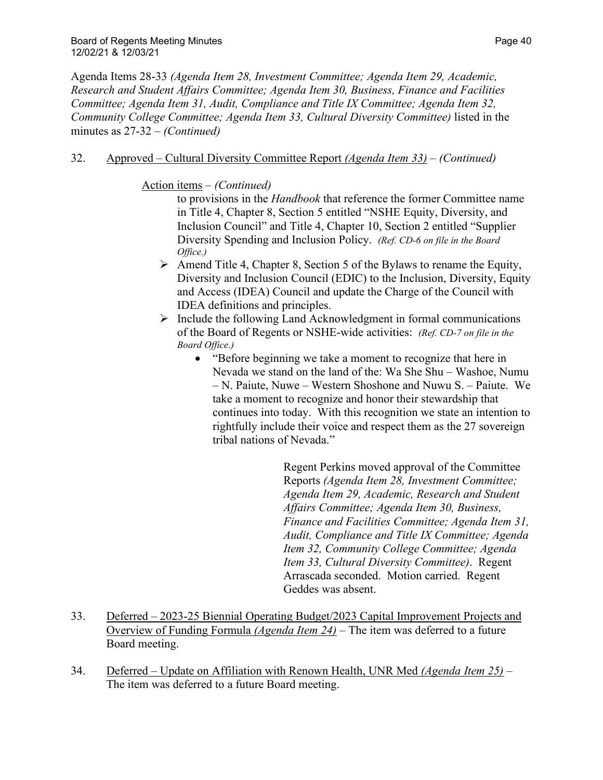### 32. Approved – Cultural Diversity Committee Report *(Agenda Item 33)* – *(Continued)*

### Action items – *(Continued)*

to provisions in the *Handbook* that reference the former Committee name in Title 4, Chapter 8, Section 5 entitled "NSHE Equity, Diversity, and Inclusion Council" and Title 4, Chapter 10, Section 2 entitled "Supplier Diversity Spending and Inclusion Policy. *(Ref. CD-6 on file in the Board Office.)*

- $\triangleright$  Amend Title 4, Chapter 8, Section 5 of the Bylaws to rename the Equity, Diversity and Inclusion Council (EDIC) to the Inclusion, Diversity, Equity and Access (IDEA) Council and update the Charge of the Council with IDEA definitions and principles.
- $\triangleright$  Include the following Land Acknowledgment in formal communications of the Board of Regents or NSHE-wide activities: *(Ref. CD-7 on file in the Board Office.)*
	- "Before beginning we take a moment to recognize that here in Nevada we stand on the land of the: Wa She Shu – Washoe, Numu – N. Paiute, Nuwe – Western Shoshone and Nuwu S. – Paiute. We take a moment to recognize and honor their stewardship that continues into today. With this recognition we state an intention to rightfully include their voice and respect them as the 27 sovereign tribal nations of Nevada."

Regent Perkins moved approval of the Committee Reports *(Agenda Item 28, Investment Committee; Agenda Item 29, Academic, Research and Student Affairs Committee; Agenda Item 30, Business, Finance and Facilities Committee; Agenda Item 31, Audit, Compliance and Title IX Committee; Agenda Item 32, Community College Committee; Agenda Item 33, Cultural Diversity Committee)*. Regent Arrascada seconded. Motion carried. Regent Geddes was absent.

- 33. Deferred 2023-25 Biennial Operating Budget/2023 Capital Improvement Projects and Overview of Funding Formula *(Agenda Item 24)* – The item was deferred to a future Board meeting.
- 34. Deferred Update on Affiliation with Renown Health, UNR Med *(Agenda Item 25)* The item was deferred to a future Board meeting.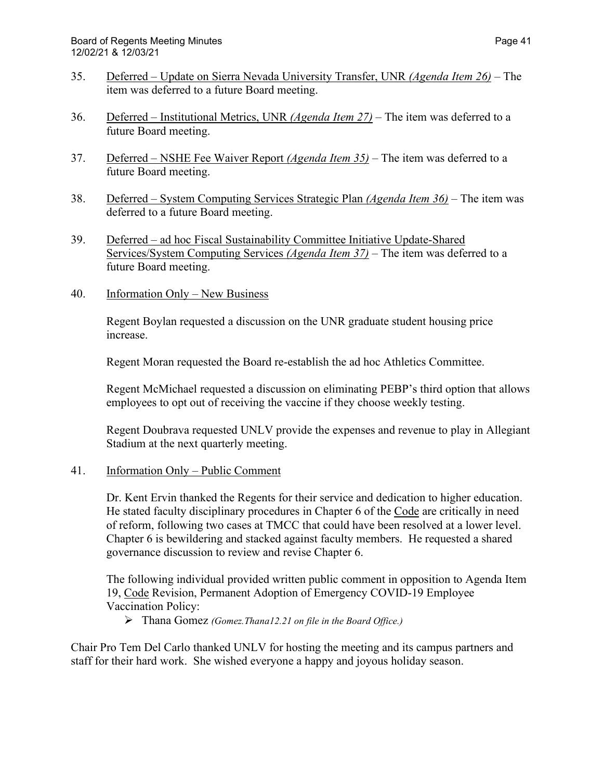- 35. Deferred Update on Sierra Nevada University Transfer, UNR *(Agenda Item 26)* The item was deferred to a future Board meeting.
- 36. Deferred Institutional Metrics, UNR *(Agenda Item 27)* The item was deferred to a future Board meeting.
- 37. Deferred NSHE Fee Waiver Report *(Agenda Item 35)* The item was deferred to a future Board meeting.
- 38. Deferred System Computing Services Strategic Plan *(Agenda Item 36)* The item was deferred to a future Board meeting.
- 39. Deferred ad hoc Fiscal Sustainability Committee Initiative Update-Shared Services/System Computing Services *(Agenda Item 37)* – The item was deferred to a future Board meeting.
- 40. Information Only New Business

Regent Boylan requested a discussion on the UNR graduate student housing price increase.

Regent Moran requested the Board re-establish the ad hoc Athletics Committee.

Regent McMichael requested a discussion on eliminating PEBP's third option that allows employees to opt out of receiving the vaccine if they choose weekly testing.

Regent Doubrava requested UNLV provide the expenses and revenue to play in Allegiant Stadium at the next quarterly meeting.

### 41. Information Only – Public Comment

Dr. Kent Ervin thanked the Regents for their service and dedication to higher education. He stated faculty disciplinary procedures in Chapter 6 of the Code are critically in need of reform, following two cases at TMCC that could have been resolved at a lower level. Chapter 6 is bewildering and stacked against faculty members. He requested a shared governance discussion to review and revise Chapter 6.

The following individual provided written public comment in opposition to Agenda Item 19, Code Revision, Permanent Adoption of Emergency COVID-19 Employee Vaccination Policy:

Thana Gomez *(Gomez.Thana12.21 on file in the Board Office.)*

Chair Pro Tem Del Carlo thanked UNLV for hosting the meeting and its campus partners and staff for their hard work. She wished everyone a happy and joyous holiday season.